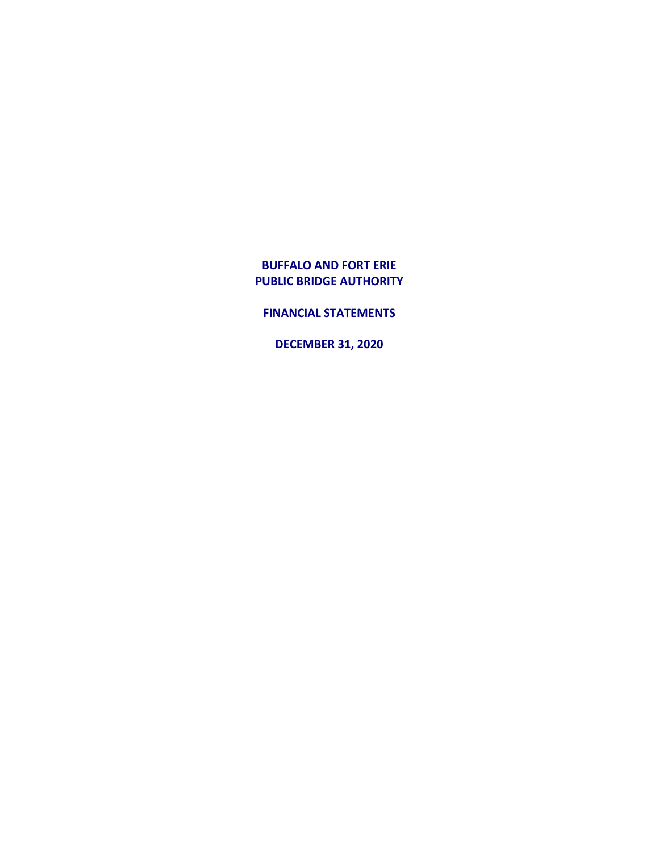**FINANCIAL STATEMENTS**

**DECEMBER 31, 2020**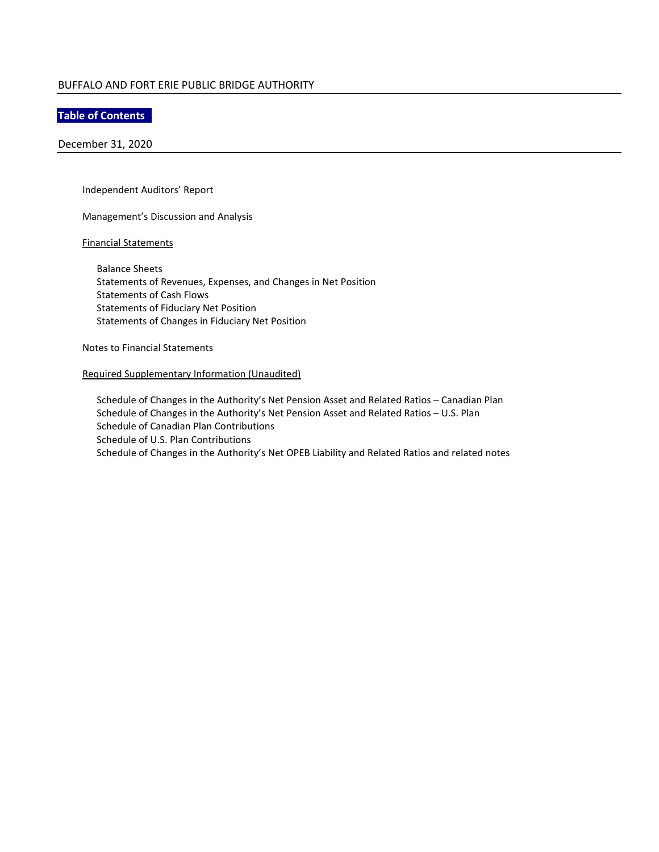## **Table of Contents**

December 31, 2020

Independent Auditors' Report

Management's Discussion and Analysis

## Financial Statements

Balance Sheets Statements of Revenues, Expenses, and Changes in Net Position Statements of Cash Flows Statements of Fiduciary Net Position Statements of Changes in Fiduciary Net Position

Notes to Financial Statements

## Required Supplementary Information (Unaudited)

Schedule of Changes in the Authority's Net Pension Asset and Related Ratios – Canadian Plan Schedule of Changes in the Authority's Net Pension Asset and Related Ratios – U.S. Plan Schedule of Canadian Plan Contributions Schedule of U.S. Plan Contributions Schedule of Changes in the Authority's Net OPEB Liability and Related Ratios and related notes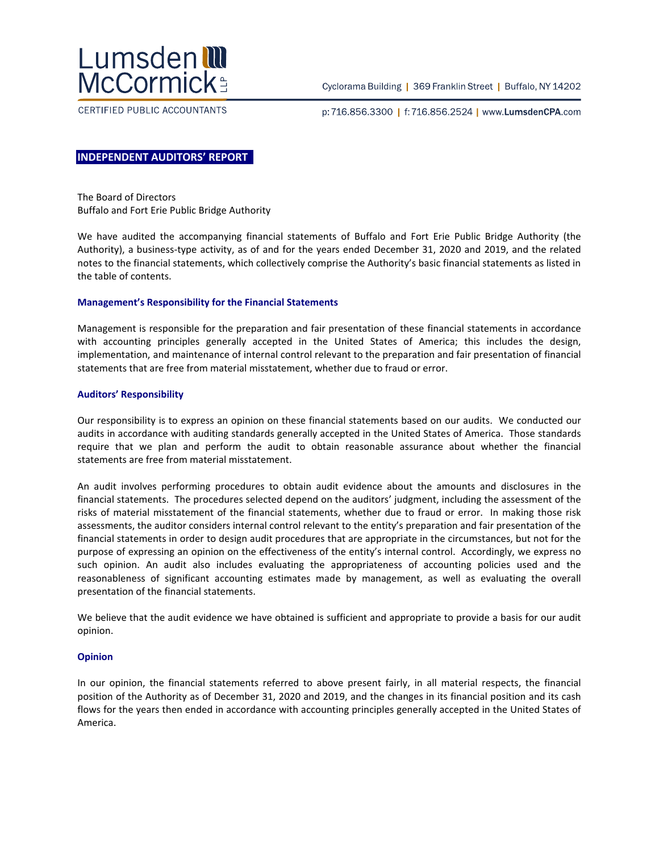

CERTIFIED PUBLIC ACCOUNTANTS

Cyclorama Building | 369 Franklin Street | Buffalo, NY 14202

p:716.856.3300 | f:716.856.2524 | www.LumsdenCPA.com

## **INDEPENDENT AUDITORS' REPORT**

The Board of Directors Buffalo and Fort Erie Public Bridge Authority

We have audited the accompanying financial statements of Buffalo and Fort Erie Public Bridge Authority (the Authority), a business-type activity, as of and for the years ended December 31, 2020 and 2019, and the related notes to the financial statements, which collectively comprise the Authority's basic financial statements as listed in the table of contents.

## **Management's Responsibility for the Financial Statements**

Management is responsible for the preparation and fair presentation of these financial statements in accordance with accounting principles generally accepted in the United States of America; this includes the design, implementation, and maintenance of internal control relevant to the preparation and fair presentation of financial statements that are free from material misstatement, whether due to fraud or error.

## **Auditors' Responsibility**

Our responsibility is to express an opinion on these financial statements based on our audits. We conducted our audits in accordance with auditing standards generally accepted in the United States of America. Those standards require that we plan and perform the audit to obtain reasonable assurance about whether the financial statements are free from material misstatement.

An audit involves performing procedures to obtain audit evidence about the amounts and disclosures in the financial statements. The procedures selected depend on the auditors' judgment, including the assessment of the risks of material misstatement of the financial statements, whether due to fraud or error. In making those risk assessments, the auditor considers internal control relevant to the entity's preparation and fair presentation of the financial statements in order to design audit procedures that are appropriate in the circumstances, but not for the purpose of expressing an opinion on the effectiveness of the entity's internal control. Accordingly, we express no such opinion. An audit also includes evaluating the appropriateness of accounting policies used and the reasonableness of significant accounting estimates made by management, as well as evaluating the overall presentation of the financial statements.

We believe that the audit evidence we have obtained is sufficient and appropriate to provide a basis for our audit opinion.

## **Opinion**

In our opinion, the financial statements referred to above present fairly, in all material respects, the financial position of the Authority as of December 31, 2020 and 2019, and the changes in its financial position and its cash flows for the years then ended in accordance with accounting principles generally accepted in the United States of America.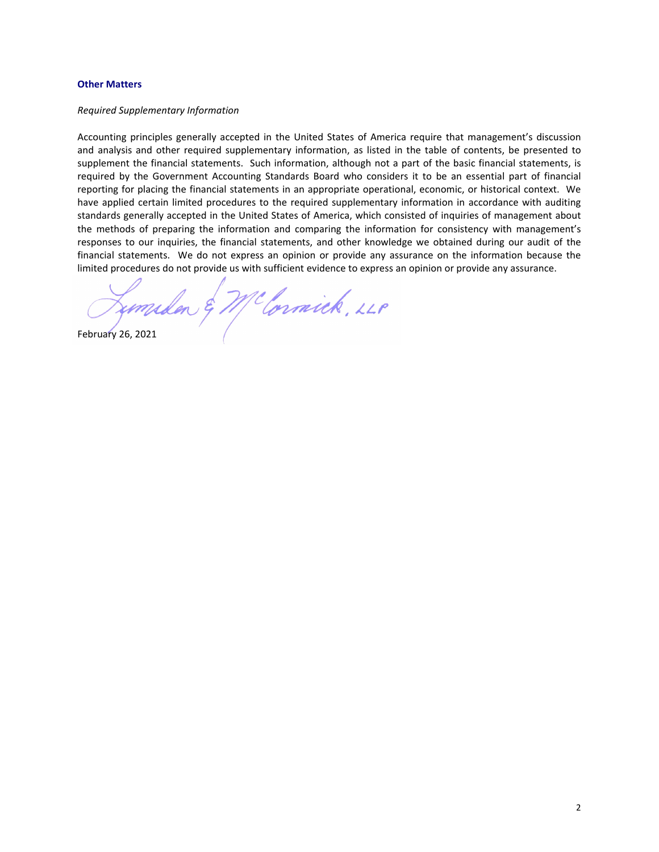#### **Other Matters**

#### *Required Supplementary Information*

Accounting principles generally accepted in the United States of America require that management's discussion and analysis and other required supplementary information, as listed in the table of contents, be presented to supplement the financial statements. Such information, although not a part of the basic financial statements, is required by the Government Accounting Standards Board who considers it to be an essential part of financial reporting for placing the financial statements in an appropriate operational, economic, or historical context. We have applied certain limited procedures to the required supplementary information in accordance with auditing standards generally accepted in the United States of America, which consisted of inquiries of management about the methods of preparing the information and comparing the information for consistency with management's responses to our inquiries, the financial statements, and other knowledge we obtained during our audit of the financial statements. We do not express an opinion or provide any assurance on the information because the limited procedures do not provide us with sufficient evidence to express an opinion or provide any assurance.

February 26, 2021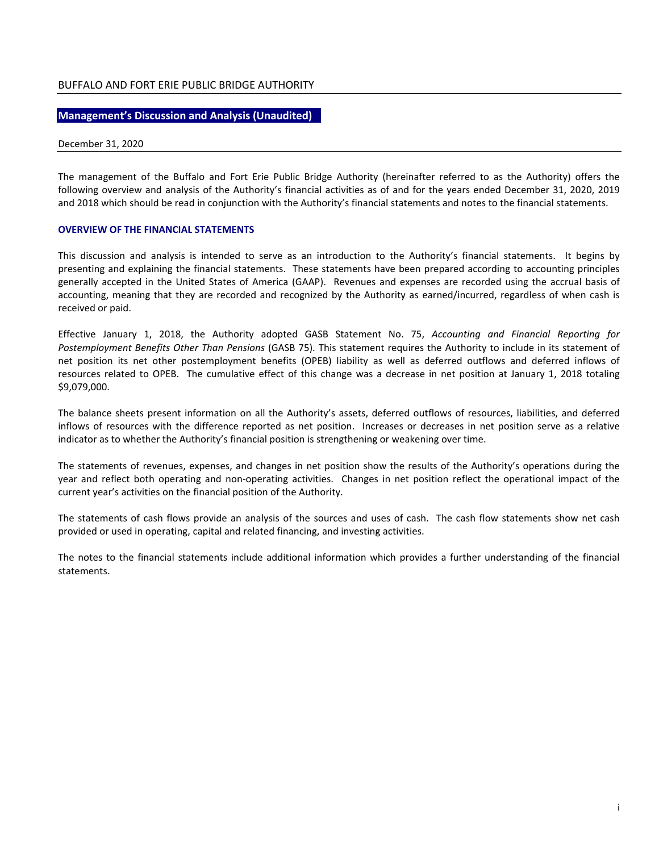## **Management's Discussion and Analysis (Unaudited)**

December 31, 2020

The management of the Buffalo and Fort Erie Public Bridge Authority (hereinafter referred to as the Authority) offers the following overview and analysis of the Authority's financial activities as of and for the years ended December 31, 2020, 2019 and 2018 which should be read in conjunction with the Authority's financial statements and notes to the financial statements.

## **OVERVIEW OF THE FINANCIAL STATEMENTS**

This discussion and analysis is intended to serve as an introduction to the Authority's financial statements. It begins by presenting and explaining the financial statements. These statements have been prepared according to accounting principles generally accepted in the United States of America (GAAP). Revenues and expenses are recorded using the accrual basis of accounting, meaning that they are recorded and recognized by the Authority as earned/incurred, regardless of when cash is received or paid.

Effective January 1, 2018, the Authority adopted GASB Statement No. 75, *Accounting and Financial Reporting for Postemployment Benefits Other Than Pensions* (GASB 75). This statement requires the Authority to include in its statement of net position its net other postemployment benefits (OPEB) liability as well as deferred outflows and deferred inflows of resources related to OPEB. The cumulative effect of this change was a decrease in net position at January 1, 2018 totaling \$9,079,000.

The balance sheets present information on all the Authority's assets, deferred outflows of resources, liabilities, and deferred inflows of resources with the difference reported as net position. Increases or decreases in net position serve as a relative indicator as to whether the Authority's financial position is strengthening or weakening over time.

The statements of revenues, expenses, and changes in net position show the results of the Authority's operations during the year and reflect both operating and non-operating activities. Changes in net position reflect the operational impact of the current year's activities on the financial position of the Authority.

The statements of cash flows provide an analysis of the sources and uses of cash. The cash flow statements show net cash provided or used in operating, capital and related financing, and investing activities.

The notes to the financial statements include additional information which provides a further understanding of the financial statements.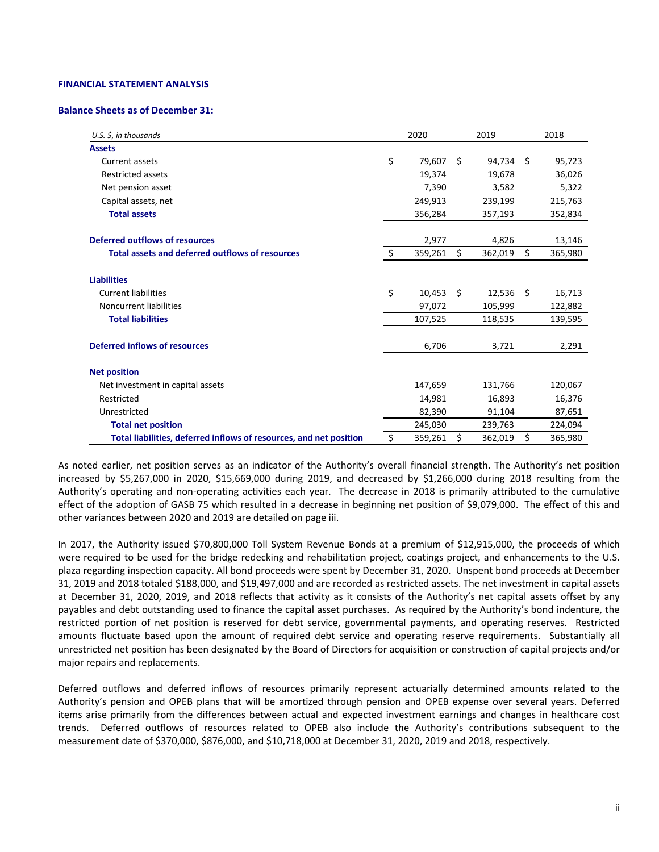#### **FINANCIAL STATEMENT ANALYSIS**

#### **Balance Sheets as of December 31:**

| U.S. $\zeta$ , in thousands                                        | 2020          |    | 2019    |      | 2018    |
|--------------------------------------------------------------------|---------------|----|---------|------|---------|
| <b>Assets</b>                                                      |               |    |         |      |         |
| Current assets                                                     | \$<br>79,607  | Ŝ. | 94.734  | - \$ | 95,723  |
| <b>Restricted assets</b>                                           | 19,374        |    | 19,678  |      | 36,026  |
| Net pension asset                                                  | 7,390         |    | 3,582   |      | 5,322   |
| Capital assets, net                                                | 249,913       |    | 239,199 |      | 215,763 |
| <b>Total assets</b>                                                | 356,284       |    | 357,193 |      | 352,834 |
| Deferred outflows of resources                                     | 2,977         |    | 4,826   |      | 13,146  |
| Total assets and deferred outflows of resources                    | \$<br>359,261 | \$ | 362,019 | \$   | 365,980 |
| <b>Liabilities</b>                                                 |               |    |         |      |         |
| <b>Current liabilities</b>                                         | \$<br>10,453  | Ŝ. | 12,536  | -\$  | 16,713  |
| Noncurrent liabilities                                             | 97,072        |    | 105,999 |      | 122,882 |
| <b>Total liabilities</b>                                           | 107,525       |    | 118,535 |      | 139,595 |
| Deferred inflows of resources                                      | 6,706         |    | 3,721   |      | 2,291   |
| <b>Net position</b>                                                |               |    |         |      |         |
| Net investment in capital assets                                   | 147,659       |    | 131,766 |      | 120,067 |
| Restricted                                                         | 14.981        |    | 16,893  |      | 16,376  |
| Unrestricted                                                       | 82,390        |    | 91,104  |      | 87,651  |
| <b>Total net position</b>                                          | 245,030       |    | 239,763 |      | 224,094 |
| Total liabilities, deferred inflows of resources, and net position | \$<br>359,261 | Ś. | 362,019 | \$   | 365,980 |

As noted earlier, net position serves as an indicator of the Authority's overall financial strength. The Authority's net position increased by \$5,267,000 in 2020, \$15,669,000 during 2019, and decreased by \$1,266,000 during 2018 resulting from the Authority's operating and non-operating activities each year. The decrease in 2018 is primarily attributed to the cumulative effect of the adoption of GASB 75 which resulted in a decrease in beginning net position of \$9,079,000. The effect of this and other variances between 2020 and 2019 are detailed on page iii.

In 2017, the Authority issued \$70,800,000 Toll System Revenue Bonds at a premium of \$12,915,000, the proceeds of which were required to be used for the bridge redecking and rehabilitation project, coatings project, and enhancements to the U.S. plaza regarding inspection capacity. All bond proceeds were spent by December 31, 2020. Unspent bond proceeds at December 31, 2019 and 2018 totaled \$188,000, and \$19,497,000 and are recorded as restricted assets. The net investment in capital assets at December 31, 2020, 2019, and 2018 reflects that activity as it consists of the Authority's net capital assets offset by any payables and debt outstanding used to finance the capital asset purchases. As required by the Authority's bond indenture, the restricted portion of net position is reserved for debt service, governmental payments, and operating reserves. Restricted amounts fluctuate based upon the amount of required debt service and operating reserve requirements. Substantially all unrestricted net position has been designated by the Board of Directors for acquisition or construction of capital projects and/or major repairs and replacements.

Deferred outflows and deferred inflows of resources primarily represent actuarially determined amounts related to the Authority's pension and OPEB plans that will be amortized through pension and OPEB expense over several years. Deferred items arise primarily from the differences between actual and expected investment earnings and changes in healthcare cost trends. Deferred outflows of resources related to OPEB also include the Authority's contributions subsequent to the measurement date of \$370,000, \$876,000, and \$10,718,000 at December 31, 2020, 2019 and 2018, respectively.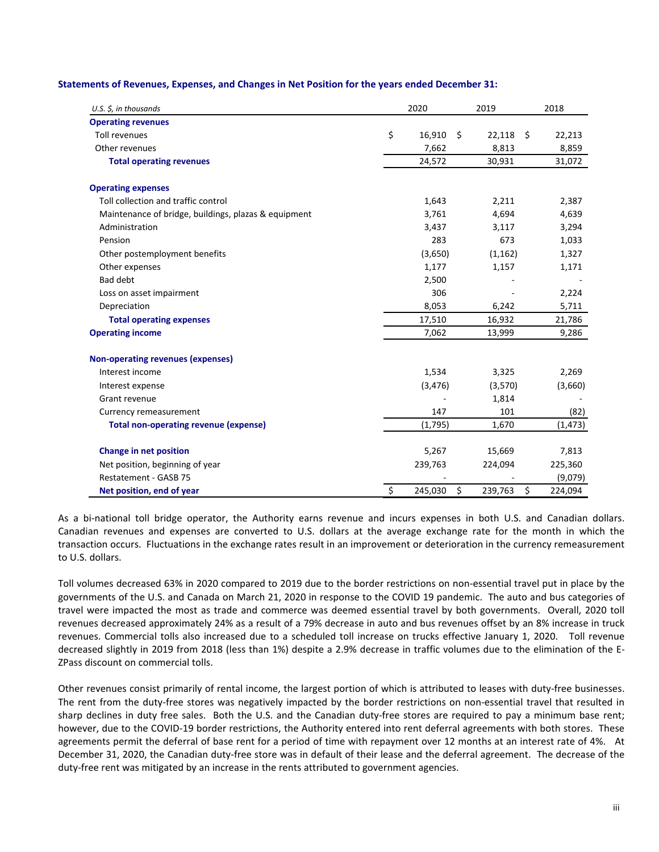| U.S. $\zeta$ , in thousands                          | 2020          | 2019          |     | 2018     |
|------------------------------------------------------|---------------|---------------|-----|----------|
| <b>Operating revenues</b>                            |               |               |     |          |
| <b>Toll revenues</b>                                 | \$<br>16,910  | \$<br>22,118  | Ŝ.  | 22,213   |
| Other revenues                                       | 7,662         | 8,813         |     | 8,859    |
| <b>Total operating revenues</b>                      | 24,572        | 30,931        |     | 31,072   |
| <b>Operating expenses</b>                            |               |               |     |          |
| Toll collection and traffic control                  | 1,643         | 2,211         |     | 2,387    |
| Maintenance of bridge, buildings, plazas & equipment | 3,761         | 4,694         |     | 4,639    |
| Administration                                       | 3,437         | 3,117         |     | 3,294    |
| Pension                                              | 283           |               | 673 | 1,033    |
| Other postemployment benefits                        | (3,650)       | (1, 162)      |     | 1,327    |
| Other expenses                                       | 1,177         | 1,157         |     | 1,171    |
| <b>Bad debt</b>                                      | 2,500         |               |     |          |
| Loss on asset impairment                             | 306           |               |     | 2,224    |
| Depreciation                                         | 8,053         | 6,242         |     | 5,711    |
| <b>Total operating expenses</b>                      | 17,510        | 16,932        |     | 21,786   |
| <b>Operating income</b>                              | 7,062         | 13,999        |     | 9,286    |
| Non-operating revenues (expenses)                    |               |               |     |          |
| Interest income                                      | 1,534         | 3,325         |     | 2,269    |
| Interest expense                                     | (3, 476)      | (3,570)       |     | (3,660)  |
| Grant revenue                                        |               | 1,814         |     |          |
| Currency remeasurement                               | 147           |               | 101 | (82)     |
| <b>Total non-operating revenue (expense)</b>         | (1,795)       | 1,670         |     | (1, 473) |
| <b>Change in net position</b>                        | 5,267         | 15,669        |     | 7,813    |
| Net position, beginning of year                      | 239,763       | 224,094       |     | 225,360  |
| Restatement - GASB 75                                |               |               |     | (9,079)  |
| Net position, end of year                            | \$<br>245,030 | \$<br>239,763 | \$  | 224,094  |

**Statements of Revenues, Expenses, and Changes in Net Position for the years ended December 31:**

As a bi-national toll bridge operator, the Authority earns revenue and incurs expenses in both U.S. and Canadian dollars. Canadian revenues and expenses are converted to U.S. dollars at the average exchange rate for the month in which the transaction occurs. Fluctuations in the exchange rates result in an improvement or deterioration in the currency remeasurement to U.S. dollars.

Toll volumes decreased 63% in 2020 compared to 2019 due to the border restrictions on non-essential travel put in place by the governments of the U.S. and Canada on March 21, 2020 in response to the COVID 19 pandemic. The auto and bus categories of travel were impacted the most as trade and commerce was deemed essential travel by both governments. Overall, 2020 toll revenues decreased approximately 24% as a result of a 79% decrease in auto and bus revenues offset by an 8% increase in truck revenues. Commercial tolls also increased due to a scheduled toll increase on trucks effective January 1, 2020. Toll revenue decreased slightly in 2019 from 2018 (less than 1%) despite a 2.9% decrease in traffic volumes due to the elimination of the E-ZPass discount on commercial tolls.

Other revenues consist primarily of rental income, the largest portion of which is attributed to leases with duty-free businesses. The rent from the duty-free stores was negatively impacted by the border restrictions on non-essential travel that resulted in sharp declines in duty free sales. Both the U.S. and the Canadian duty-free stores are required to pay a minimum base rent; however, due to the COVID-19 border restrictions, the Authority entered into rent deferral agreements with both stores. These agreements permit the deferral of base rent for a period of time with repayment over 12 months at an interest rate of 4%. At December 31, 2020, the Canadian duty-free store was in default of their lease and the deferral agreement. The decrease of the duty-free rent was mitigated by an increase in the rents attributed to government agencies.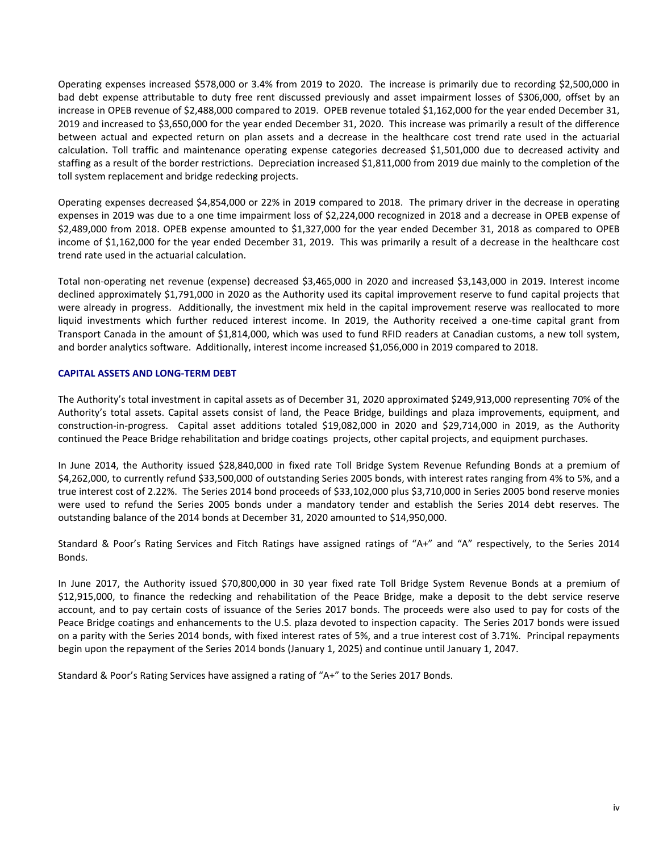Operating expenses increased \$578,000 or 3.4% from 2019 to 2020. The increase is primarily due to recording \$2,500,000 in bad debt expense attributable to duty free rent discussed previously and asset impairment losses of \$306,000, offset by an increase in OPEB revenue of \$2,488,000 compared to 2019. OPEB revenue totaled \$1,162,000 for the year ended December 31, 2019 and increased to \$3,650,000 for the year ended December 31, 2020. This increase was primarily a result of the difference between actual and expected return on plan assets and a decrease in the healthcare cost trend rate used in the actuarial calculation. Toll traffic and maintenance operating expense categories decreased \$1,501,000 due to decreased activity and staffing as a result of the border restrictions. Depreciation increased \$1,811,000 from 2019 due mainly to the completion of the toll system replacement and bridge redecking projects.

Operating expenses decreased \$4,854,000 or 22% in 2019 compared to 2018. The primary driver in the decrease in operating expenses in 2019 was due to a one time impairment loss of \$2,224,000 recognized in 2018 and a decrease in OPEB expense of \$2,489,000 from 2018. OPEB expense amounted to \$1,327,000 for the year ended December 31, 2018 as compared to OPEB income of \$1,162,000 for the year ended December 31, 2019. This was primarily a result of a decrease in the healthcare cost trend rate used in the actuarial calculation.

Total non-operating net revenue (expense) decreased \$3,465,000 in 2020 and increased \$3,143,000 in 2019. Interest income declined approximately \$1,791,000 in 2020 as the Authority used its capital improvement reserve to fund capital projects that were already in progress. Additionally, the investment mix held in the capital improvement reserve was reallocated to more liquid investments which further reduced interest income. In 2019, the Authority received a one-time capital grant from Transport Canada in the amount of \$1,814,000, which was used to fund RFID readers at Canadian customs, a new toll system, and border analytics software. Additionally, interest income increased \$1,056,000 in 2019 compared to 2018.

## **CAPITAL ASSETS AND LONG-TERM DEBT**

The Authority's total investment in capital assets as of December 31, 2020 approximated \$249,913,000 representing 70% of the Authority's total assets. Capital assets consist of land, the Peace Bridge, buildings and plaza improvements, equipment, and construction-in-progress. Capital asset additions totaled \$19,082,000 in 2020 and \$29,714,000 in 2019, as the Authority continued the Peace Bridge rehabilitation and bridge coatings projects, other capital projects, and equipment purchases.

In June 2014, the Authority issued \$28,840,000 in fixed rate Toll Bridge System Revenue Refunding Bonds at a premium of \$4,262,000, to currently refund \$33,500,000 of outstanding Series 2005 bonds, with interest rates ranging from 4% to 5%, and a true interest cost of 2.22%. The Series 2014 bond proceeds of \$33,102,000 plus \$3,710,000 in Series 2005 bond reserve monies were used to refund the Series 2005 bonds under a mandatory tender and establish the Series 2014 debt reserves. The outstanding balance of the 2014 bonds at December 31, 2020 amounted to \$14,950,000.

Standard & Poor's Rating Services and Fitch Ratings have assigned ratings of "A+" and "A" respectively, to the Series 2014 Bonds.

In June 2017, the Authority issued \$70,800,000 in 30 year fixed rate Toll Bridge System Revenue Bonds at a premium of \$12,915,000, to finance the redecking and rehabilitation of the Peace Bridge, make a deposit to the debt service reserve account, and to pay certain costs of issuance of the Series 2017 bonds. The proceeds were also used to pay for costs of the Peace Bridge coatings and enhancements to the U.S. plaza devoted to inspection capacity. The Series 2017 bonds were issued on a parity with the Series 2014 bonds, with fixed interest rates of 5%, and a true interest cost of 3.71%. Principal repayments begin upon the repayment of the Series 2014 bonds (January 1, 2025) and continue until January 1, 2047.

Standard & Poor's Rating Services have assigned a rating of "A+" to the Series 2017 Bonds.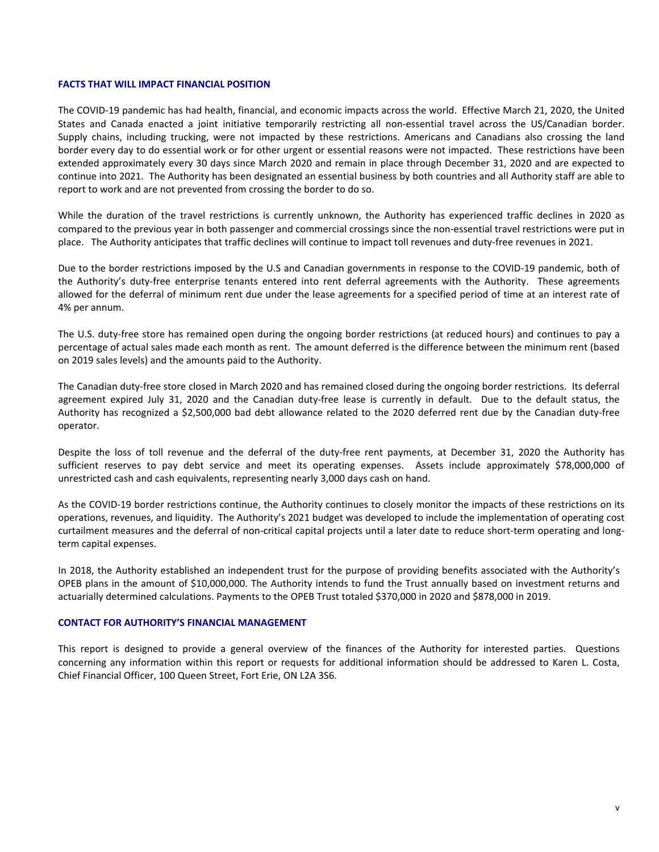## **FACTS THAT WILL IMPACT FINANCIAL POSITION**

The COVID-19 pandemic has had health, financial, and economic impacts across the world. Effective March 21, 2020, the United States and Canada enacted a joint initiative temporarily restricting all non-essential travel across the US/Canadian border. Supply chains, including trucking, were not impacted by these restrictions. Americans and Canadians also crossing the land border every day to do essential work or for other urgent or essential reasons were not impacted. These restrictions have been extended approximately every 30 days since March 2020 and remain in place through December 31, 2020 and are expected to continue into 2021. The Authority has been designated an essential business by both countries and all Authority staff are able to report to work and are not prevented from crossing the border to do so.

While the duration of the travel restrictions is currently unknown, the Authority has experienced traffic declines in 2020 as compared to the previous year in both passenger and commercial crossings since the non-essential travel restrictions were put in place. The Authority anticipates that traffic declines will continue to impact toll revenues and duty-free revenues in 2021.

Due to the border restrictions imposed by the U.S and Canadian governments in response to the COVID-19 pandemic, both of the Authority's duty-free enterprise tenants entered into rent deferral agreements with the Authority. These agreements allowed for the deferral of minimum rent due under the lease agreements for a specified period of time at an interest rate of 4% per annum.

The U.S. duty-free store has remained open during the ongoing border restrictions (at reduced hours) and continues to pay a percentage of actual sales made each month as rent. The amount deferred is the difference between the minimum rent (based on 2019 sales levels) and the amounts paid to the Authority.

The Canadian duty-free store closed in March 2020 and has remained closed during the ongoing border restrictions. Its deferral agreement expired July 31, 2020 and the Canadian duty-free lease is currently in default. Due to the default status, the Authority has recognized a \$2,500,000 bad debt allowance related to the 2020 deferred rent due by the Canadian duty-free operator.

Despite the loss of toll revenue and the deferral of the duty-free rent payments, at December 31, 2020 the Authority has sufficient reserves to pay debt service and meet its operating expenses. Assets include approximately \$78,000,000 of unrestricted cash and cash equivalents, representing nearly 3,000 days cash on hand.

As the COVID-19 border restrictions continue, the Authority continues to closely monitor the impacts of these restrictions on its operations, revenues, and liquidity. The Authority's 2021 budget was developed to include the implementation of operating cost curtailment measures and the deferral of non-critical capital projects until a later date to reduce short-term operating and longterm capital expenses.

In 2018, the Authority established an independent trust for the purpose of providing benefits associated with the Authority's OPEB plans in the amount of \$10,000,000. The Authority intends to fund the Trust annually based on investment returns and actuarially determined calculations. Payments to the OPEB Trust totaled \$370,000 in 2020 and \$878,000 in 2019.

## **CONTACT FOR AUTHORITY'S FINANCIAL MANAGEMENT**

This report is designed to provide a general overview of the finances of the Authority for interested parties. Questions concerning any information within this report or requests for additional information should be addressed to Karen L. Costa, Chief Financial Officer, 100 Queen Street, Fort Erie, ON L2A 3S6.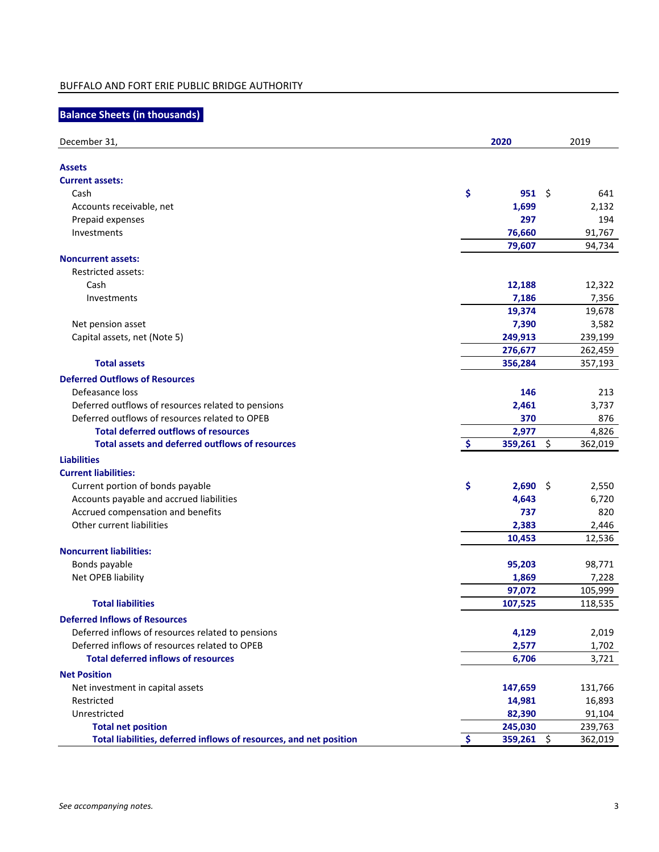# **Balance Sheets (in thousands)**

| December 31,                                                       | 2020 |                    |    | 2019    |  |  |
|--------------------------------------------------------------------|------|--------------------|----|---------|--|--|
|                                                                    |      |                    |    |         |  |  |
| <b>Assets</b>                                                      |      |                    |    |         |  |  |
| <b>Current assets:</b>                                             |      |                    |    |         |  |  |
| Cash                                                               | \$   | $951 \;$ \$        |    | 641     |  |  |
| Accounts receivable, net                                           |      | 1,699              |    | 2,132   |  |  |
| Prepaid expenses                                                   |      | 297                |    | 194     |  |  |
| Investments                                                        |      | 76,660             |    | 91,767  |  |  |
| <b>Noncurrent assets:</b>                                          |      | 79,607             |    | 94,734  |  |  |
| <b>Restricted assets:</b>                                          |      |                    |    |         |  |  |
| Cash                                                               |      | 12,188             |    | 12,322  |  |  |
| Investments                                                        |      | 7,186              |    | 7,356   |  |  |
|                                                                    |      | 19,374             |    | 19,678  |  |  |
|                                                                    |      |                    |    |         |  |  |
| Net pension asset                                                  |      | 7,390              |    | 3,582   |  |  |
| Capital assets, net (Note 5)                                       |      | 249,913<br>276,677 |    | 239,199 |  |  |
| <b>Total assets</b>                                                |      |                    |    | 262,459 |  |  |
|                                                                    |      | 356,284            |    | 357,193 |  |  |
| <b>Deferred Outflows of Resources</b>                              |      |                    |    |         |  |  |
| Defeasance loss                                                    |      | 146                |    | 213     |  |  |
| Deferred outflows of resources related to pensions                 |      | 2,461              |    | 3,737   |  |  |
| Deferred outflows of resources related to OPEB                     |      | 370                |    | 876     |  |  |
| <b>Total deferred outflows of resources</b>                        |      | 2,977              |    | 4,826   |  |  |
| <b>Total assets and deferred outflows of resources</b>             | -\$  | 359,261            | \$ | 362,019 |  |  |
| <b>Liabilities</b>                                                 |      |                    |    |         |  |  |
| <b>Current liabilities:</b>                                        |      |                    |    |         |  |  |
| Current portion of bonds payable                                   | \$   | $2,690$ \$         |    | 2,550   |  |  |
| Accounts payable and accrued liabilities                           |      | 4,643              |    | 6,720   |  |  |
| Accrued compensation and benefits                                  |      | 737                |    | 820     |  |  |
| Other current liabilities                                          |      | 2,383              |    | 2,446   |  |  |
|                                                                    |      | 10,453             |    | 12,536  |  |  |
| <b>Noncurrent liabilities:</b>                                     |      |                    |    |         |  |  |
| Bonds payable                                                      |      | 95,203             |    | 98,771  |  |  |
| Net OPEB liability                                                 |      | 1,869              |    | 7,228   |  |  |
|                                                                    |      | 97,072             |    | 105,999 |  |  |
| <b>Total liabilities</b>                                           |      | 107,525            |    | 118,535 |  |  |
| <b>Deferred Inflows of Resources</b>                               |      |                    |    |         |  |  |
| Deferred inflows of resources related to pensions                  |      | 4,129              |    | 2,019   |  |  |
| Deferred inflows of resources related to OPEB                      |      | 2,577              |    | 1,702   |  |  |
| <b>Total deferred inflows of resources</b>                         |      | 6,706              |    | 3,721   |  |  |
|                                                                    |      |                    |    |         |  |  |
| <b>Net Position</b>                                                |      |                    |    |         |  |  |
| Net investment in capital assets                                   |      | 147,659            |    | 131,766 |  |  |
| Restricted                                                         |      | 14,981             |    | 16,893  |  |  |
| Unrestricted                                                       |      | 82,390             |    | 91,104  |  |  |
| <b>Total net position</b>                                          |      | 245,030            |    | 239,763 |  |  |
| Total liabilities, deferred inflows of resources, and net position | Ŝ.   | $359,261$ \$       |    | 362,019 |  |  |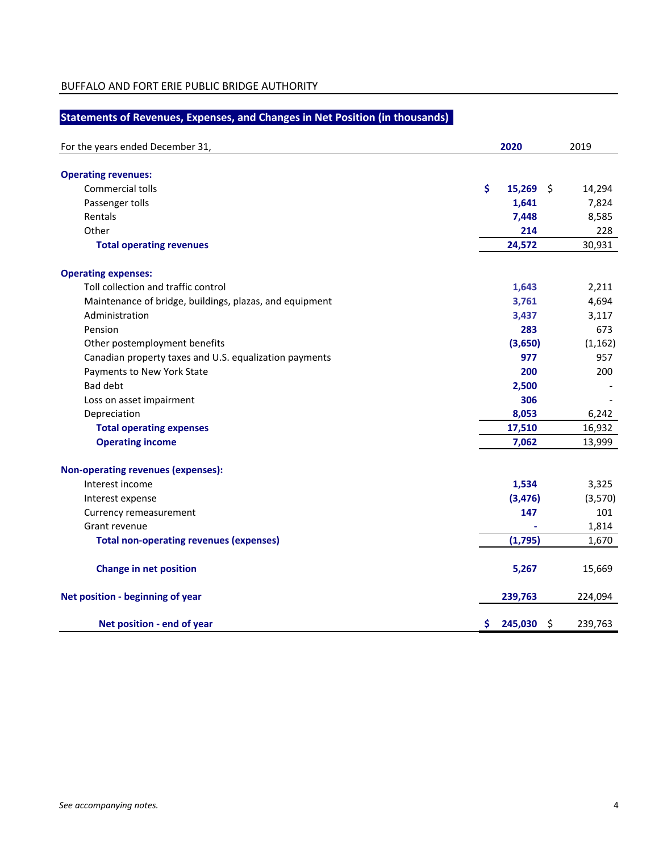# **Statements of Revenues, Expenses, and Changes in Net Position (in thousands)**

| For the years ended December 31,                        | 2020                | 2019     |
|---------------------------------------------------------|---------------------|----------|
| <b>Operating revenues:</b>                              |                     |          |
| Commercial tolls                                        | \$<br>15,269<br>-\$ | 14,294   |
| Passenger tolls                                         | 1,641               | 7,824    |
| Rentals                                                 | 7,448               | 8,585    |
| Other                                                   | 214                 | 228      |
| <b>Total operating revenues</b>                         | 24,572              | 30,931   |
| <b>Operating expenses:</b>                              |                     |          |
| Toll collection and traffic control                     | 1,643               | 2,211    |
| Maintenance of bridge, buildings, plazas, and equipment | 3,761               | 4,694    |
| Administration                                          | 3,437               | 3,117    |
| Pension                                                 | 283                 | 673      |
| Other postemployment benefits                           | (3,650)             | (1, 162) |
| Canadian property taxes and U.S. equalization payments  | 977                 | 957      |
| Payments to New York State                              | 200                 | 200      |
| <b>Bad debt</b>                                         | 2,500               |          |
| Loss on asset impairment                                | 306                 |          |
| Depreciation                                            | 8,053               | 6,242    |
| <b>Total operating expenses</b>                         | 17,510              | 16,932   |
| <b>Operating income</b>                                 | 7,062               | 13,999   |
| <b>Non-operating revenues (expenses):</b>               |                     |          |
| Interest income                                         | 1,534               | 3,325    |
| Interest expense                                        | (3, 476)            | (3,570)  |
| Currency remeasurement                                  | 147                 | 101      |
| Grant revenue                                           |                     | 1,814    |
| <b>Total non-operating revenues (expenses)</b>          | (1,795)             | 1,670    |
| <b>Change in net position</b>                           | 5,267               | 15,669   |
| Net position - beginning of year                        | 239,763             | 224,094  |
| Net position - end of year                              | \$<br>\$<br>245,030 | 239,763  |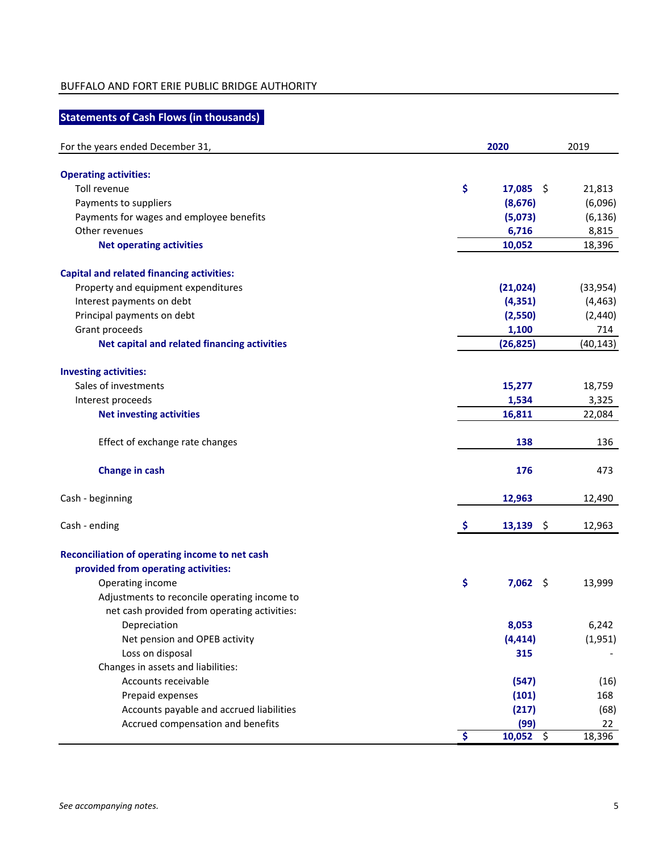# **Statements of Cash Flows (in thousands)**

| For the years ended December 31,                 | 2020                |                      |           |
|--------------------------------------------------|---------------------|----------------------|-----------|
| <b>Operating activities:</b>                     |                     |                      |           |
| Toll revenue                                     | \$                  | 17,085<br>-\$        | 21,813    |
| Payments to suppliers                            |                     | (8,676)              | (6,096)   |
| Payments for wages and employee benefits         |                     | (5,073)              | (6, 136)  |
| Other revenues                                   |                     | 6,716                | 8,815     |
| <b>Net operating activities</b>                  |                     | 10,052               | 18,396    |
| <b>Capital and related financing activities:</b> |                     |                      |           |
| Property and equipment expenditures              |                     | (21, 024)            | (33, 954) |
| Interest payments on debt                        |                     | (4, 351)             | (4, 463)  |
| Principal payments on debt                       |                     | (2,550)              | (2,440)   |
| Grant proceeds                                   |                     | 1,100                | 714       |
| Net capital and related financing activities     |                     | (26, 825)            | (40, 143) |
| <b>Investing activities:</b>                     |                     |                      |           |
| Sales of investments                             |                     | 15,277               | 18,759    |
| Interest proceeds                                |                     | 1,534                | 3,325     |
| <b>Net investing activities</b>                  |                     | 16,811               | 22,084    |
| Effect of exchange rate changes                  |                     | 138                  | 136       |
| <b>Change in cash</b>                            |                     | 176                  | 473       |
| Cash - beginning                                 |                     | 12,963               | 12,490    |
| Cash - ending                                    | Ş                   | 13,139<br>\$         | 12,963    |
| Reconciliation of operating income to net cash   |                     |                      |           |
| provided from operating activities:              |                     |                      |           |
| Operating income                                 | \$                  | $7,062$ \$           | 13,999    |
| Adjustments to reconcile operating income to     |                     |                      |           |
| net cash provided from operating activities:     |                     |                      |           |
| Depreciation                                     |                     | 8,053                | 6,242     |
| Net pension and OPEB activity                    |                     | (4, 414)             | (1,951)   |
| Loss on disposal                                 |                     | 315                  |           |
| Changes in assets and liabilities:               |                     |                      |           |
| Accounts receivable                              |                     | (547)                | (16)      |
| Prepaid expenses                                 |                     | (101)                | 168       |
| Accounts payable and accrued liabilities         |                     | (217)                | (68)      |
| Accrued compensation and benefits                |                     | (99)                 | 22        |
|                                                  | $\ddot{\bm{\zeta}}$ | 10,052 $\frac{1}{2}$ | 18,396    |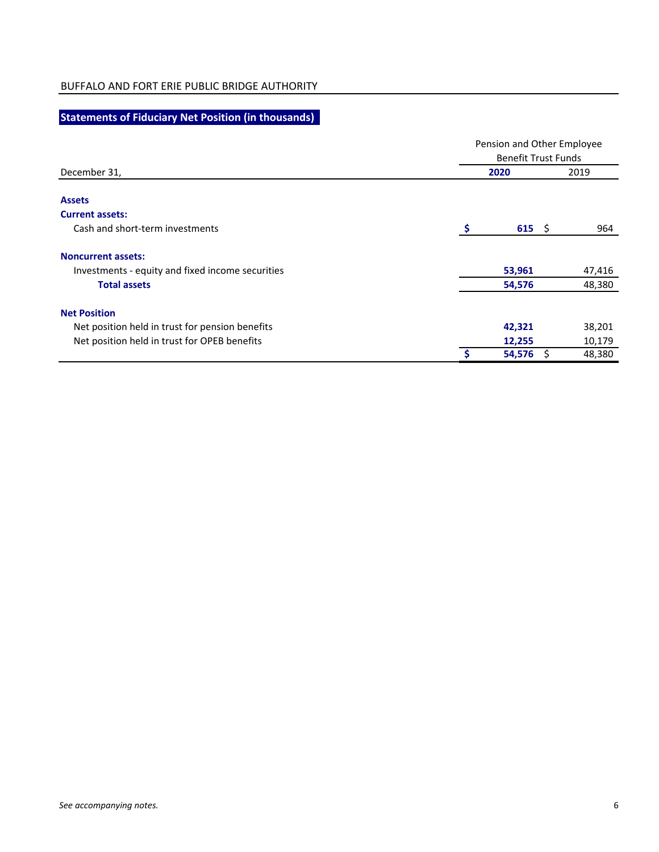# **Statements of Fiduciary Net Position (in thousands)**

|                                                  |   | Pension and Other Employee<br><b>Benefit Trust Funds</b> |  |        |  |
|--------------------------------------------------|---|----------------------------------------------------------|--|--------|--|
| December 31,                                     |   | 2020                                                     |  | 2019   |  |
| <b>Assets</b>                                    |   |                                                          |  |        |  |
| <b>Current assets:</b>                           |   |                                                          |  |        |  |
| Cash and short-term investments                  | s | 615 $\sqrt{ }$                                           |  | 964    |  |
| <b>Noncurrent assets:</b>                        |   |                                                          |  |        |  |
| Investments - equity and fixed income securities |   | 53,961                                                   |  | 47,416 |  |
| <b>Total assets</b>                              |   | 54,576                                                   |  | 48,380 |  |
| <b>Net Position</b>                              |   |                                                          |  |        |  |
| Net position held in trust for pension benefits  |   | 42,321                                                   |  | 38,201 |  |
| Net position held in trust for OPEB benefits     |   | 12,255                                                   |  | 10,179 |  |
|                                                  | Ŝ | 54,576                                                   |  | 48,380 |  |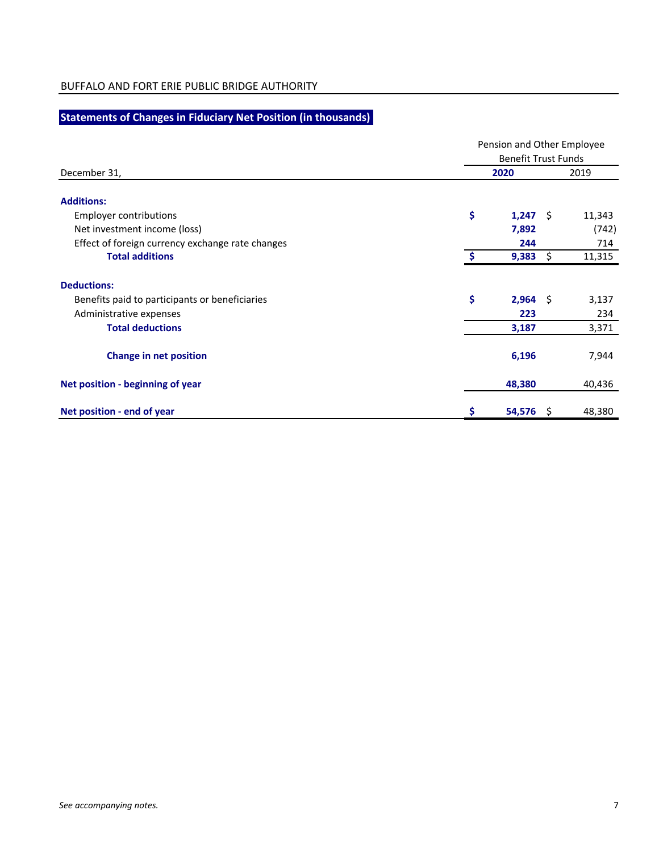# **Statements of Changes in Fiduciary Net Position (in thousands)**

|                                                  |      | Pension and Other Employee<br><b>Benefit Trust Funds</b> |        |  |  |  |  |  |
|--------------------------------------------------|------|----------------------------------------------------------|--------|--|--|--|--|--|
| December 31,                                     | 2020 |                                                          | 2019   |  |  |  |  |  |
| <b>Additions:</b>                                |      |                                                          |        |  |  |  |  |  |
| <b>Employer contributions</b>                    | \$   | $1,247$ \$                                               | 11,343 |  |  |  |  |  |
| Net investment income (loss)                     |      | 7,892                                                    | (742)  |  |  |  |  |  |
| Effect of foreign currency exchange rate changes |      | 244                                                      | 714    |  |  |  |  |  |
| <b>Total additions</b>                           | S    | 9,383<br>\$                                              | 11,315 |  |  |  |  |  |
| <b>Deductions:</b>                               |      |                                                          |        |  |  |  |  |  |
| Benefits paid to participants or beneficiaries   | \$   | $2,964$ \$                                               | 3,137  |  |  |  |  |  |
| Administrative expenses                          |      | 223                                                      | 234    |  |  |  |  |  |
| <b>Total deductions</b>                          |      | 3,187                                                    | 3,371  |  |  |  |  |  |
| <b>Change in net position</b>                    |      | 6,196                                                    | 7,944  |  |  |  |  |  |
| Net position - beginning of year                 |      | 48,380                                                   | 40,436 |  |  |  |  |  |
| Net position - end of year                       | \$   | 54,576<br>-S                                             | 48,380 |  |  |  |  |  |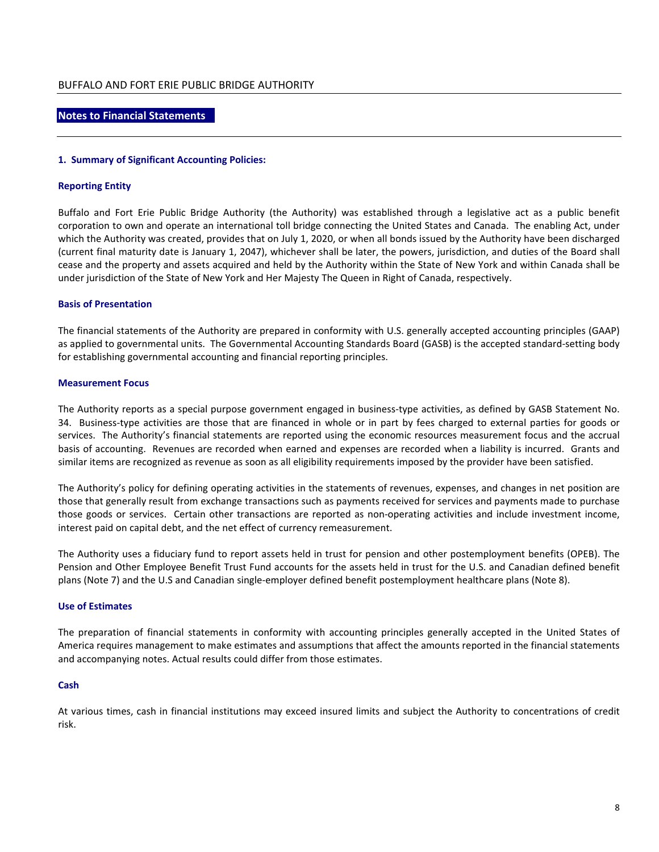## **Notes to Financial Statements**

#### **1. Summary of Significant Accounting Policies:**

#### **Reporting Entity**

Buffalo and Fort Erie Public Bridge Authority (the Authority) was established through a legislative act as a public benefit corporation to own and operate an international toll bridge connecting the United States and Canada. The enabling Act, under which the Authority was created, provides that on July 1, 2020, or when all bonds issued by the Authority have been discharged (current final maturity date is January 1, 2047), whichever shall be later, the powers, jurisdiction, and duties of the Board shall cease and the property and assets acquired and held by the Authority within the State of New York and within Canada shall be under jurisdiction of the State of New York and Her Majesty The Queen in Right of Canada, respectively.

## **Basis of Presentation**

The financial statements of the Authority are prepared in conformity with U.S. generally accepted accounting principles (GAAP) as applied to governmental units. The Governmental Accounting Standards Board (GASB) is the accepted standard-setting body for establishing governmental accounting and financial reporting principles.

#### **Measurement Focus**

The Authority reports as a special purpose government engaged in business-type activities, as defined by GASB Statement No. 34. Business-type activities are those that are financed in whole or in part by fees charged to external parties for goods or services. The Authority's financial statements are reported using the economic resources measurement focus and the accrual basis of accounting. Revenues are recorded when earned and expenses are recorded when a liability is incurred. Grants and similar items are recognized as revenue as soon as all eligibility requirements imposed by the provider have been satisfied.

The Authority's policy for defining operating activities in the statements of revenues, expenses, and changes in net position are those that generally result from exchange transactions such as payments received for services and payments made to purchase those goods or services. Certain other transactions are reported as non-operating activities and include investment income, interest paid on capital debt, and the net effect of currency remeasurement.

The Authority uses a fiduciary fund to report assets held in trust for pension and other postemployment benefits (OPEB). The Pension and Other Employee Benefit Trust Fund accounts for the assets held in trust for the U.S. and Canadian defined benefit plans (Note 7) and the U.S and Canadian single-employer defined benefit postemployment healthcare plans (Note 8).

## **Use of Estimates**

The preparation of financial statements in conformity with accounting principles generally accepted in the United States of America requires management to make estimates and assumptions that affect the amounts reported in the financial statements and accompanying notes. Actual results could differ from those estimates.

## **Cash**

At various times, cash in financial institutions may exceed insured limits and subject the Authority to concentrations of credit risk.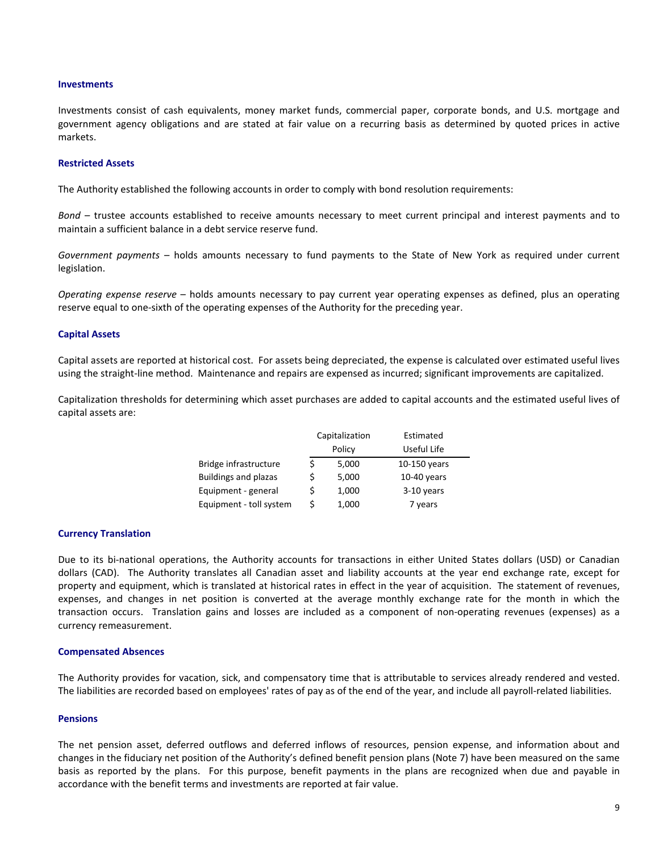#### **Investments**

Investments consist of cash equivalents, money market funds, commercial paper, corporate bonds, and U.S. mortgage and government agency obligations and are stated at fair value on a recurring basis as determined by quoted prices in active markets.

#### **Restricted Assets**

The Authority established the following accounts in order to comply with bond resolution requirements:

*Bond* – trustee accounts established to receive amounts necessary to meet current principal and interest payments and to maintain a sufficient balance in a debt service reserve fund.

*Government payments* – holds amounts necessary to fund payments to the State of New York as required under current legislation.

*Operating expense reserve* – holds amounts necessary to pay current year operating expenses as defined, plus an operating reserve equal to one-sixth of the operating expenses of the Authority for the preceding year.

#### **Capital Assets**

Capital assets are reported at historical cost. For assets being depreciated, the expense is calculated over estimated useful lives using the straight-line method. Maintenance and repairs are expensed as incurred; significant improvements are capitalized.

Capitalization thresholds for determining which asset purchases are added to capital accounts and the estimated useful lives of capital assets are:

| Capitalization              |   | Estimated |               |
|-----------------------------|---|-----------|---------------|
| Policy                      |   |           | Useful Life   |
| Bridge infrastructure       |   | 5,000     | 10-150 years  |
| <b>Buildings and plazas</b> |   | 5,000     | $10-40$ years |
| Equipment - general         | S | 1,000     | 3-10 years    |
| Equipment - toll system     |   | 1,000     | 7 years       |

#### **Currency Translation**

Due to its bi-national operations, the Authority accounts for transactions in either United States dollars (USD) or Canadian dollars (CAD). The Authority translates all Canadian asset and liability accounts at the year end exchange rate, except for property and equipment, which is translated at historical rates in effect in the year of acquisition. The statement of revenues, expenses, and changes in net position is converted at the average monthly exchange rate for the month in which the transaction occurs. Translation gains and losses are included as a component of non-operating revenues (expenses) as a currency remeasurement.

#### **Compensated Absences**

The Authority provides for vacation, sick, and compensatory time that is attributable to services already rendered and vested. The liabilities are recorded based on employees' rates of pay as of the end of the year, and include all payroll-related liabilities.

#### **Pensions**

The net pension asset, deferred outflows and deferred inflows of resources, pension expense, and information about and changes in the fiduciary net position of the Authority's defined benefit pension plans (Note 7) have been measured on the same basis as reported by the plans. For this purpose, benefit payments in the plans are recognized when due and payable in accordance with the benefit terms and investments are reported at fair value.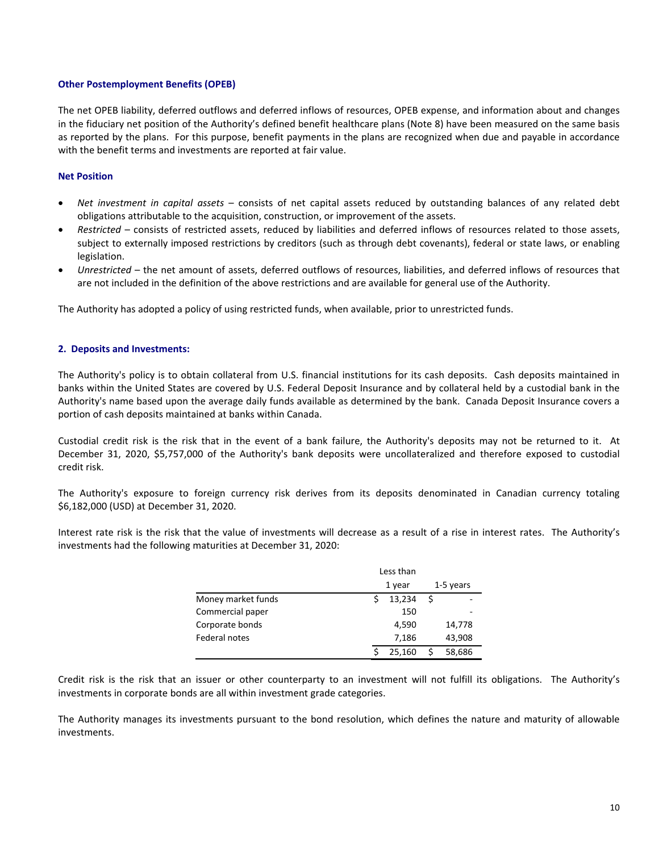## **Other Postemployment Benefits (OPEB)**

The net OPEB liability, deferred outflows and deferred inflows of resources, OPEB expense, and information about and changes in the fiduciary net position of the Authority's defined benefit healthcare plans (Note 8) have been measured on the same basis as reported by the plans. For this purpose, benefit payments in the plans are recognized when due and payable in accordance with the benefit terms and investments are reported at fair value.

## **Net Position**

- *Net investment in capital assets* consists of net capital assets reduced by outstanding balances of any related debt obligations attributable to the acquisition, construction, or improvement of the assets.
- *Restricted* consists of restricted assets, reduced by liabilities and deferred inflows of resources related to those assets, subject to externally imposed restrictions by creditors (such as through debt covenants), federal or state laws, or enabling legislation.
- *Unrestricted* the net amount of assets, deferred outflows of resources, liabilities, and deferred inflows of resources that are not included in the definition of the above restrictions and are available for general use of the Authority.

The Authority has adopted a policy of using restricted funds, when available, prior to unrestricted funds.

## **2. Deposits and Investments:**

The Authority's policy is to obtain collateral from U.S. financial institutions for its cash deposits. Cash deposits maintained in banks within the United States are covered by U.S. Federal Deposit Insurance and by collateral held by a custodial bank in the Authority's name based upon the average daily funds available as determined by the bank. Canada Deposit Insurance covers a portion of cash deposits maintained at banks within Canada.

Custodial credit risk is the risk that in the event of a bank failure, the Authority's deposits may not be returned to it. At December 31, 2020, \$5,757,000 of the Authority's bank deposits were uncollateralized and therefore exposed to custodial credit risk.

The Authority's exposure to foreign currency risk derives from its deposits denominated in Canadian currency totaling \$6,182,000 (USD) at December 31, 2020.

Interest rate risk is the risk that the value of investments will decrease as a result of a rise in interest rates. The Authority's investments had the following maturities at December 31, 2020:

|                    | Less than |        |   |           |  |
|--------------------|-----------|--------|---|-----------|--|
|                    | 1 year    |        |   | 1-5 years |  |
| Money market funds |           | 13,234 | S |           |  |
| Commercial paper   |           | 150    |   |           |  |
| Corporate bonds    |           | 4,590  |   | 14,778    |  |
| Federal notes      |           | 7,186  |   | 43,908    |  |
|                    |           | 25.160 | S | 58,686    |  |

Credit risk is the risk that an issuer or other counterparty to an investment will not fulfill its obligations. The Authority's investments in corporate bonds are all within investment grade categories.

The Authority manages its investments pursuant to the bond resolution, which defines the nature and maturity of allowable investments.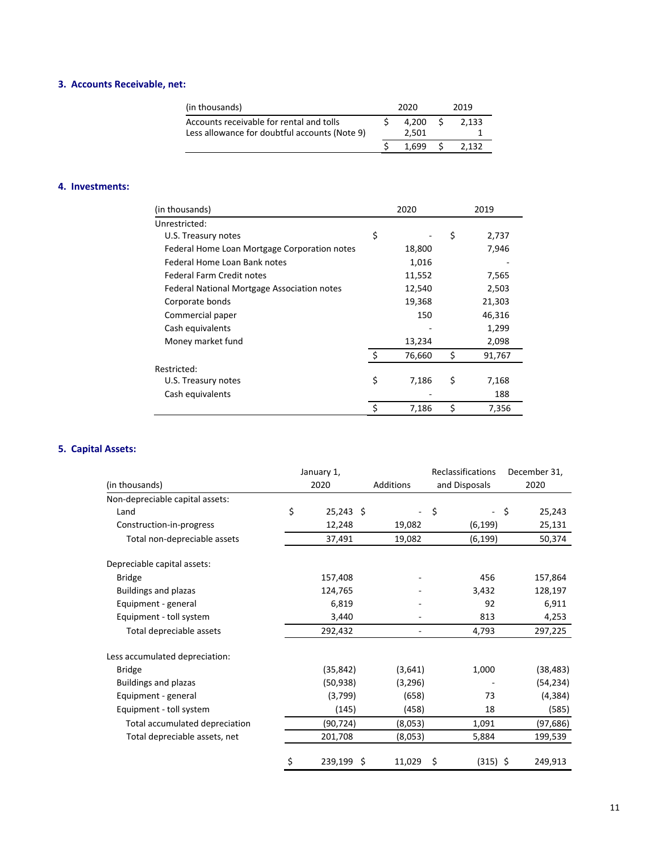# **3. Accounts Receivable, net:**

| 4.200 | 2.133 |
|-------|-------|
| 2.501 |       |
| 1.699 | '132  |
|       |       |

## **4. Investments:**

| (in thousands)                               | 2020         | 2019         |
|----------------------------------------------|--------------|--------------|
| Unrestricted:                                |              |              |
| U.S. Treasury notes                          | \$           | \$<br>2,737  |
| Federal Home Loan Mortgage Corporation notes | 18,800       | 7,946        |
| Federal Home Loan Bank notes                 | 1,016        |              |
| <b>Federal Farm Credit notes</b>             | 11,552       | 7,565        |
| Federal National Mortgage Association notes  | 12,540       | 2,503        |
| Corporate bonds                              | 19,368       | 21,303       |
| Commercial paper                             | 150          | 46,316       |
| Cash equivalents                             |              | 1,299        |
| Money market fund                            | 13,234       | 2,098        |
|                                              | \$<br>76,660 | \$<br>91,767 |
| Restricted:                                  |              |              |
| U.S. Treasury notes                          | \$<br>7,186  | \$<br>7,168  |
| Cash equivalents                             |              | 188          |
|                                              | \$<br>7,186  | \$<br>7,356  |

## **5. Capital Assets:**

|                                 | January 1,        |           | Reclassifications |  | December 31, |           |
|---------------------------------|-------------------|-----------|-------------------|--|--------------|-----------|
| (in thousands)                  | 2020              | Additions | and Disposals     |  |              | 2020      |
| Non-depreciable capital assets: |                   |           |                   |  |              |           |
| Land                            | \$<br>$25,243$ \$ |           | \$                |  | - \$         | 25,243    |
| Construction-in-progress        | 12,248            | 19,082    | (6, 199)          |  |              | 25,131    |
| Total non-depreciable assets    | 37,491            | 19,082    | (6, 199)          |  |              | 50,374    |
| Depreciable capital assets:     |                   |           |                   |  |              |           |
| <b>Bridge</b>                   | 157,408           |           | 456               |  |              | 157,864   |
| <b>Buildings and plazas</b>     | 124,765           |           | 3,432             |  |              | 128,197   |
| Equipment - general             | 6,819             |           | 92                |  |              | 6,911     |
| Equipment - toll system         | 3,440             |           | 813               |  |              | 4,253     |
| Total depreciable assets        | 292,432           | ٠         | 4,793             |  |              | 297,225   |
| Less accumulated depreciation:  |                   |           |                   |  |              |           |
| <b>Bridge</b>                   | (35, 842)         | (3,641)   | 1,000             |  |              | (38, 483) |
| <b>Buildings and plazas</b>     | (50, 938)         | (3, 296)  |                   |  |              | (54, 234) |
| Equipment - general             | (3,799)           | (658)     | 73                |  |              | (4, 384)  |
| Equipment - toll system         | (145)             | (458)     | 18                |  |              | (585)     |
| Total accumulated depreciation  | (90, 724)         | (8,053)   | 1,091             |  |              | (97, 686) |
| Total depreciable assets, net   | 201,708           | (8,053)   | 5,884             |  |              | 199,539   |
|                                 | \$<br>239,199 \$  | 11,029    | \$<br>$(315)$ \$  |  |              | 249,913   |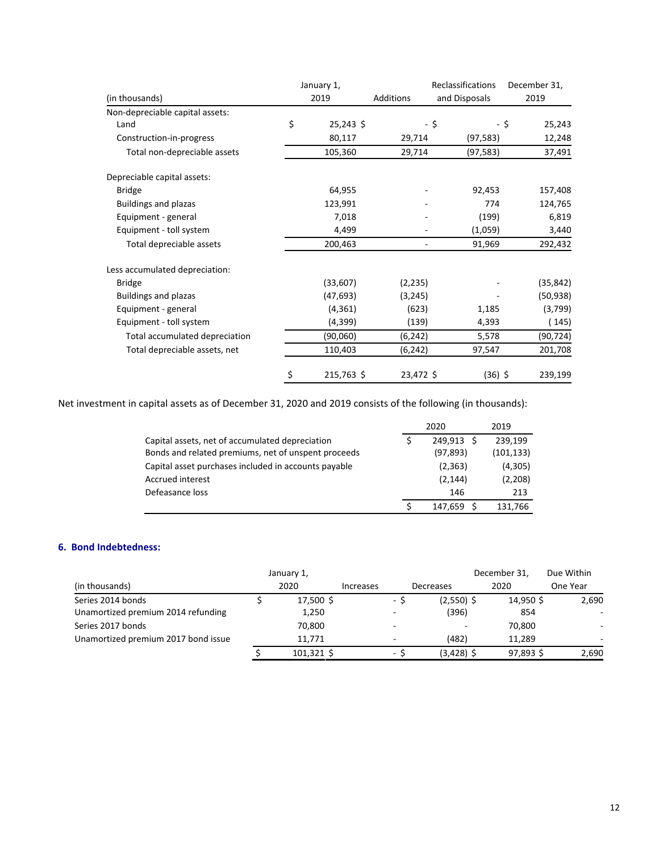|                                 | January 1,        |           | Reclassifications | December 31,   |  |
|---------------------------------|-------------------|-----------|-------------------|----------------|--|
| (in thousands)                  | 2019              | Additions | and Disposals     | 2019           |  |
| Non-depreciable capital assets: |                   |           |                   |                |  |
| Land                            | \$<br>$25,243$ \$ |           | - \$              | 25,243<br>- \$ |  |
| Construction-in-progress        | 80,117            | 29,714    | (97, 583)         | 12,248         |  |
| Total non-depreciable assets    | 105,360           | 29,714    | (97, 583)         | 37,491         |  |
| Depreciable capital assets:     |                   |           |                   |                |  |
| <b>Bridge</b>                   | 64,955            |           | 92,453            | 157,408        |  |
| <b>Buildings and plazas</b>     | 123,991           |           | 774               | 124,765        |  |
| Equipment - general             | 7,018             |           | (199)             | 6,819          |  |
| Equipment - toll system         | 4,499             |           | (1,059)           | 3,440          |  |
| Total depreciable assets        | 200,463           | ۰         | 91,969            | 292,432        |  |
| Less accumulated depreciation:  |                   |           |                   |                |  |
| <b>Bridge</b>                   | (33,607)          | (2, 235)  |                   | (35, 842)      |  |
| <b>Buildings and plazas</b>     | (47, 693)         | (3, 245)  |                   | (50, 938)      |  |
| Equipment - general             | (4, 361)          | (623)     | 1,185             | (3,799)        |  |
| Equipment - toll system         | (4,399)           | (139)     | 4,393             | (145)          |  |
| Total accumulated depreciation  | (90,060)          | (6, 242)  | 5,578             | (90, 724)      |  |
| Total depreciable assets, net   | 110,403           | (6, 242)  | 97,547            | 201,708        |  |
|                                 | \$<br>215,763 \$  | 23,472 \$ | $(36)$ \$         | 239,199        |  |

Net investment in capital assets as of December 31, 2020 and 2019 consists of the following (in thousands):

|                                                      | 2020           | 2019       |
|------------------------------------------------------|----------------|------------|
| Capital assets, net of accumulated depreciation      | 249.913<br>- Ś | 239,199    |
| Bonds and related premiums, net of unspent proceeds  | (97, 893)      | (101, 133) |
| Capital asset purchases included in accounts payable | (2, 363)       | (4,305)    |
| Accrued interest                                     | (2, 144)       | (2,208)    |
| Defeasance loss                                      | 146            | 213        |
|                                                      | 147.659        | 131,766    |

## **6. Bond Indebtedness:**

|                                     | January 1,   |                  |                          |              | December 31, | Due Within |
|-------------------------------------|--------------|------------------|--------------------------|--------------|--------------|------------|
| (in thousands)                      | 2020         | <b>Increases</b> |                          | Decreases    | 2020         | One Year   |
| Series 2014 bonds                   | 17,500 \$    |                  | ۰.                       | $(2,550)$ \$ | 14,950 \$    | 2,690      |
| Unamortized premium 2014 refunding  | 1,250        |                  | $\overline{\phantom{a}}$ | (396)        | 854          |            |
| Series 2017 bonds                   | 70,800       |                  | $\overline{\phantom{a}}$ |              | 70,800       |            |
| Unamortized premium 2017 bond issue | 11.771       |                  | $\overline{\phantom{a}}$ | (482)        | 11.289       |            |
|                                     | $101,321$ \$ |                  | ۰                        | $(3,428)$ \$ | 97,893 \$    | 2,690      |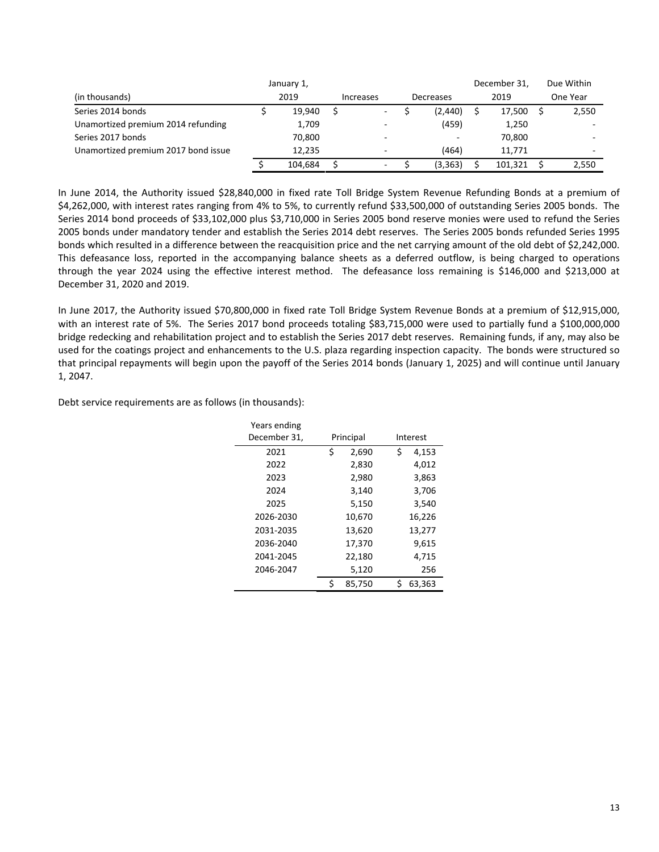|                                     | January 1, |           |                          | December 31, | Due Within |
|-------------------------------------|------------|-----------|--------------------------|--------------|------------|
| (in thousands)                      | 2019       | Increases | Decreases                | 2019         | One Year   |
| Series 2014 bonds                   | 19.940     |           | (2, 440)                 | 17.500       | 2,550      |
| Unamortized premium 2014 refunding  | 1,709      | -         | (459)                    | 1,250        |            |
| Series 2017 bonds                   | 70,800     | $\sim$    | $\overline{\phantom{a}}$ | 70.800       |            |
| Unamortized premium 2017 bond issue | 12.235     | -         | (464)                    | 11.771       |            |
|                                     | 104.684    | $\sim$    | (3, 363)                 | 101.321      | 2,550      |

In June 2014, the Authority issued \$28,840,000 in fixed rate Toll Bridge System Revenue Refunding Bonds at a premium of \$4,262,000, with interest rates ranging from 4% to 5%, to currently refund \$33,500,000 of outstanding Series 2005 bonds. The Series 2014 bond proceeds of \$33,102,000 plus \$3,710,000 in Series 2005 bond reserve monies were used to refund the Series 2005 bonds under mandatory tender and establish the Series 2014 debt reserves. The Series 2005 bonds refunded Series 1995 bonds which resulted in a difference between the reacquisition price and the net carrying amount of the old debt of \$2,242,000. This defeasance loss, reported in the accompanying balance sheets as a deferred outflow, is being charged to operations through the year 2024 using the effective interest method. The defeasance loss remaining is \$146,000 and \$213,000 at December 31, 2020 and 2019.

In June 2017, the Authority issued \$70,800,000 in fixed rate Toll Bridge System Revenue Bonds at a premium of \$12,915,000, with an interest rate of 5%. The Series 2017 bond proceeds totaling \$83,715,000 were used to partially fund a \$100,000,000 bridge redecking and rehabilitation project and to establish the Series 2017 debt reserves. Remaining funds, if any, may also be used for the coatings project and enhancements to the U.S. plaza regarding inspection capacity. The bonds were structured so that principal repayments will begin upon the payoff of the Series 2014 bonds (January 1, 2025) and will continue until January 1, 2047.

Debt service requirements are as follows (in thousands):

| Years ending<br>December 31, |    | Principal |   | Interest |
|------------------------------|----|-----------|---|----------|
| 2021                         | \$ | 2,690     | Ś | 4,153    |
| 2022                         |    | 2,830     |   | 4,012    |
| 2023                         |    | 2,980     |   | 3,863    |
| 2024                         |    | 3,140     |   | 3,706    |
| 2025                         |    | 5,150     |   | 3,540    |
| 2026-2030                    |    | 10,670    |   | 16,226   |
| 2031-2035                    |    | 13,620    |   | 13,277   |
| 2036-2040                    |    | 17,370    |   | 9,615    |
| 2041-2045                    |    | 22,180    |   | 4,715    |
| 2046-2047                    |    | 5,120     |   | 256      |
|                              | ς  | 85,750    |   | 63,363   |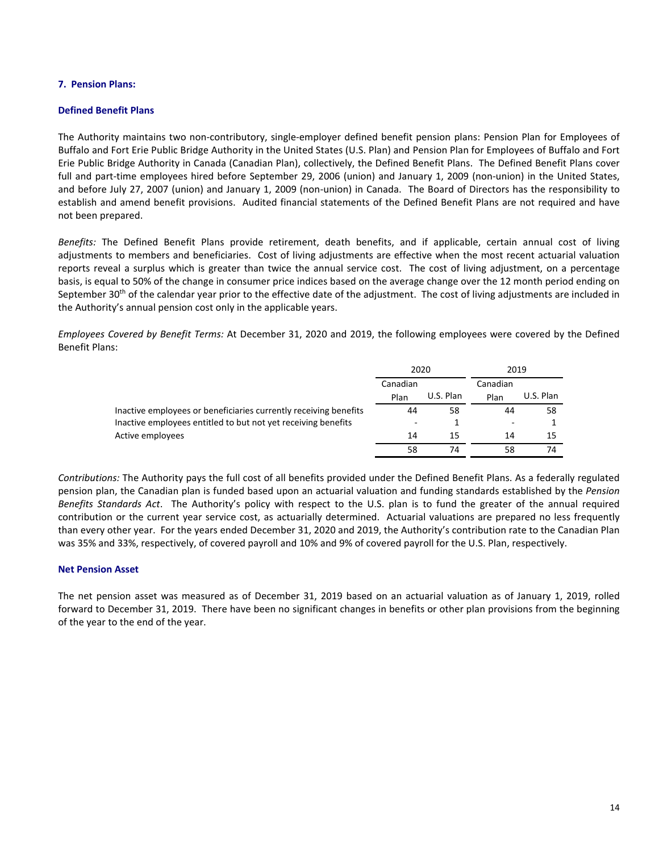## **7. Pension Plans:**

## **Defined Benefit Plans**

The Authority maintains two non-contributory, single-employer defined benefit pension plans: Pension Plan for Employees of Buffalo and Fort Erie Public Bridge Authority in the United States (U.S. Plan) and Pension Plan for Employees of Buffalo and Fort Erie Public Bridge Authority in Canada (Canadian Plan), collectively, the Defined Benefit Plans. The Defined Benefit Plans cover full and part-time employees hired before September 29, 2006 (union) and January 1, 2009 (non-union) in the United States, and before July 27, 2007 (union) and January 1, 2009 (non-union) in Canada. The Board of Directors has the responsibility to establish and amend benefit provisions. Audited financial statements of the Defined Benefit Plans are not required and have not been prepared.

*Benefits:* The Defined Benefit Plans provide retirement, death benefits, and if applicable, certain annual cost of living adjustments to members and beneficiaries. Cost of living adjustments are effective when the most recent actuarial valuation reports reveal a surplus which is greater than twice the annual service cost. The cost of living adjustment, on a percentage basis, is equal to 50% of the change in consumer price indices based on the average change over the 12 month period ending on September  $30<sup>th</sup>$  of the calendar year prior to the effective date of the adjustment. The cost of living adjustments are included in the Authority's annual pension cost only in the applicable years.

*Employees Covered by Benefit Terms:* At December 31, 2020 and 2019, the following employees were covered by the Defined Benefit Plans:

|                                                                  | 2020                     |           | 2019             |                 |  |
|------------------------------------------------------------------|--------------------------|-----------|------------------|-----------------|--|
|                                                                  | Canadian<br>Plan         | U.S. Plan | Canadian<br>Plan | U.S. Plan<br>58 |  |
| Inactive employees or beneficiaries currently receiving benefits | 44                       | 58        | 44               |                 |  |
| Inactive employees entitled to but not yet receiving benefits    | $\overline{\phantom{0}}$ |           | -                |                 |  |
| Active employees                                                 | 14                       | 15        | 14               | 15              |  |
|                                                                  | 58                       | 74        | 58               | 74              |  |

*Contributions:* The Authority pays the full cost of all benefits provided under the Defined Benefit Plans. As a federally regulated pension plan, the Canadian plan is funded based upon an actuarial valuation and funding standards established by the *Pension Benefits Standards Act*. The Authority's policy with respect to the U.S. plan is to fund the greater of the annual required contribution or the current year service cost, as actuarially determined. Actuarial valuations are prepared no less frequently than every other year. For the years ended December 31, 2020 and 2019, the Authority's contribution rate to the Canadian Plan was 35% and 33%, respectively, of covered payroll and 10% and 9% of covered payroll for the U.S. Plan, respectively.

## **Net Pension Asset**

The net pension asset was measured as of December 31, 2019 based on an actuarial valuation as of January 1, 2019, rolled forward to December 31, 2019. There have been no significant changes in benefits or other plan provisions from the beginning of the year to the end of the year.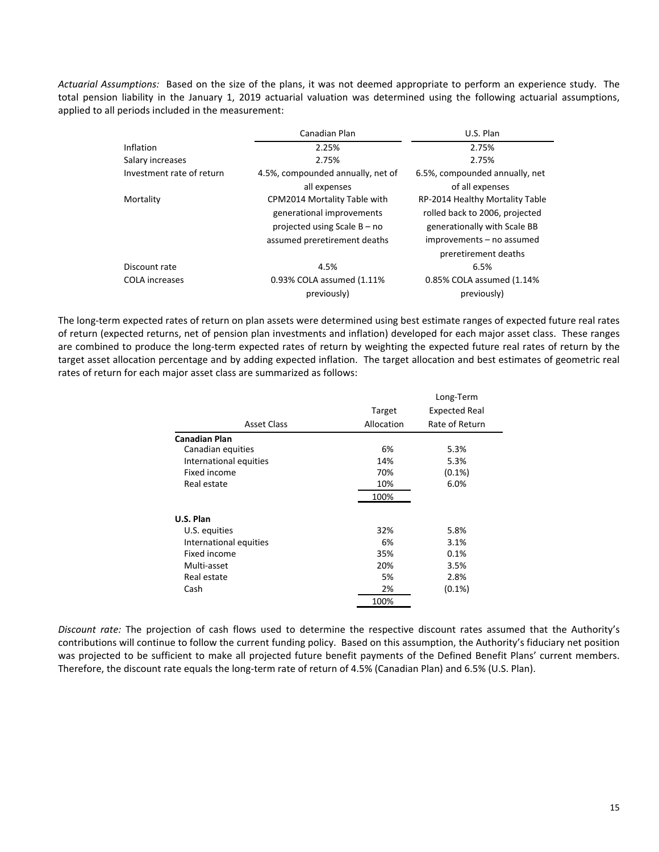*Actuarial Assumptions:* Based on the size of the plans, it was not deemed appropriate to perform an experience study. The total pension liability in the January 1, 2019 actuarial valuation was determined using the following actuarial assumptions, applied to all periods included in the measurement:

|                           | Canadian Plan                                               | U.S. Plan                                                      |
|---------------------------|-------------------------------------------------------------|----------------------------------------------------------------|
| Inflation                 | 2.25%                                                       | 2.75%                                                          |
| Salary increases          | 2.75%                                                       | 2.75%                                                          |
| Investment rate of return | 4.5%, compounded annually, net of                           | 6.5%, compounded annually, net                                 |
| Mortality                 | all expenses<br>CPM2014 Mortality Table with                | of all expenses<br>RP-2014 Healthy Mortality Table             |
|                           | generational improvements<br>projected using Scale $B - no$ | rolled back to 2006, projected<br>generationally with Scale BB |
|                           | assumed preretirement deaths                                | improvements - no assumed<br>preretirement deaths              |
| Discount rate             | 4.5%                                                        | 6.5%                                                           |
| <b>COLA</b> increases     | 0.93% COLA assumed (1.11%)<br>previously)                   | 0.85% COLA assumed (1.14%<br>previously)                       |

The long-term expected rates of return on plan assets were determined using best estimate ranges of expected future real rates of return (expected returns, net of pension plan investments and inflation) developed for each major asset class. These ranges are combined to produce the long-term expected rates of return by weighting the expected future real rates of return by the target asset allocation percentage and by adding expected inflation. The target allocation and best estimates of geometric real rates of return for each major asset class are summarized as follows:

|                        |            | Long-Term            |
|------------------------|------------|----------------------|
|                        | Target     | <b>Expected Real</b> |
| <b>Asset Class</b>     | Allocation | Rate of Return       |
| <b>Canadian Plan</b>   |            |                      |
| Canadian equities      | 6%         | 5.3%                 |
| International equities | 14%        | 5.3%                 |
| Fixed income           | 70%        | $(0.1\%)$            |
| Real estate            | 10%        | 6.0%                 |
|                        | 100%       |                      |
| U.S. Plan              |            |                      |
| U.S. equities          | 32%        | 5.8%                 |
| International equities | 6%         | 3.1%                 |
| Fixed income           | 35%        | 0.1%                 |
| Multi-asset            | 20%        | 3.5%                 |
| Real estate            | 5%         | 2.8%                 |
| Cash                   | 2%         | $(0.1\%)$            |
|                        | 100%       |                      |

*Discount rate:* The projection of cash flows used to determine the respective discount rates assumed that the Authority's contributions will continue to follow the current funding policy. Based on this assumption, the Authority's fiduciary net position was projected to be sufficient to make all projected future benefit payments of the Defined Benefit Plans' current members. Therefore, the discount rate equals the long-term rate of return of 4.5% (Canadian Plan) and 6.5% (U.S. Plan).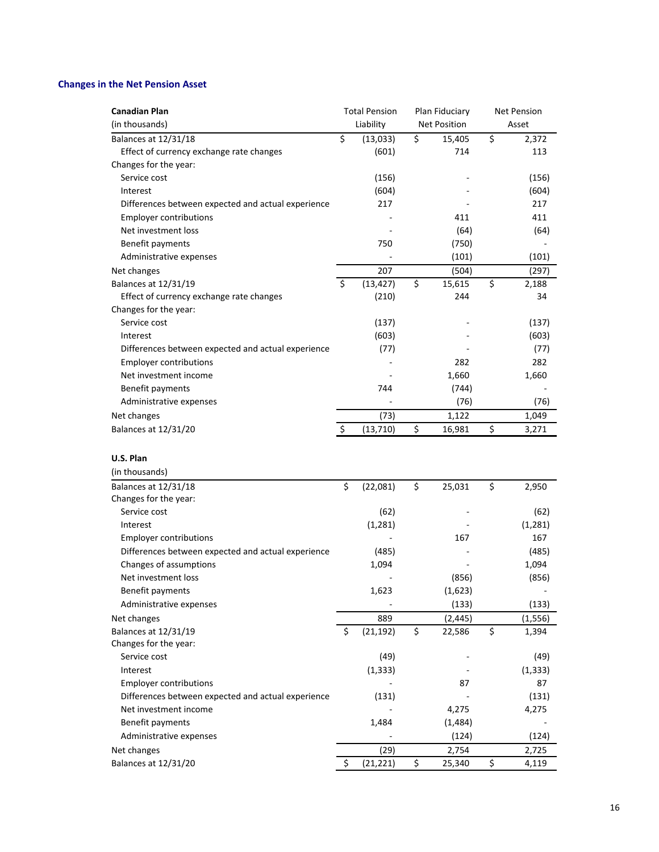# **Changes in the Net Pension Asset**

| <b>Canadian Plan</b>                               |               | <b>Total Pension</b> | Plan Fiduciary      | <b>Net Pension</b> |          |
|----------------------------------------------------|---------------|----------------------|---------------------|--------------------|----------|
| (in thousands)                                     |               | Liability            | <b>Net Position</b> |                    | Asset    |
| Balances at 12/31/18                               | \$            | (13, 033)            | \$<br>15,405        | \$                 | 2,372    |
| Effect of currency exchange rate changes           |               | (601)                | 714                 |                    | 113      |
| Changes for the year:                              |               |                      |                     |                    |          |
| Service cost                                       |               | (156)                |                     |                    | (156)    |
| Interest                                           |               | (604)                |                     |                    | (604)    |
| Differences between expected and actual experience |               | 217                  |                     |                    | 217      |
| <b>Employer contributions</b>                      |               |                      | 411                 |                    | 411      |
| Net investment loss                                |               |                      | (64)                |                    | (64)     |
| Benefit payments                                   |               | 750                  | (750)               |                    |          |
| Administrative expenses                            |               |                      | (101)               |                    | (101)    |
| Net changes                                        |               | 207                  | (504)               |                    | (297)    |
| Balances at 12/31/19                               | Ś.            | (13, 427)            | \$<br>15,615        | \$                 | 2,188    |
| Effect of currency exchange rate changes           |               | (210)                | 244                 |                    | 34       |
| Changes for the year:                              |               |                      |                     |                    |          |
| Service cost                                       |               | (137)                |                     |                    | (137)    |
| Interest                                           |               | (603)                |                     |                    | (603)    |
| Differences between expected and actual experience |               | (77)                 |                     |                    | (77)     |
| <b>Employer contributions</b>                      |               |                      | 282                 |                    | 282      |
| Net investment income                              |               |                      | 1,660               |                    | 1,660    |
| Benefit payments                                   |               | 744                  | (744)               |                    |          |
| Administrative expenses                            |               |                      | (76)                |                    | (76)     |
| Net changes                                        |               | (73)                 | 1,122               |                    | 1,049    |
| Balances at 12/31/20                               | $\ddot{\phi}$ | (13, 710)            | \$<br>16,981        | \$                 | 3,271    |
|                                                    |               |                      |                     |                    |          |
| U.S. Plan                                          |               |                      |                     |                    |          |
|                                                    |               |                      |                     |                    |          |
| (in thousands)                                     |               |                      |                     |                    |          |
| Balances at 12/31/18                               | \$            | (22,081)             | \$<br>25,031        | \$                 | 2,950    |
| Changes for the year:                              |               |                      |                     |                    |          |
| Service cost                                       |               | (62)                 |                     |                    | (62)     |
| Interest                                           |               | (1, 281)             |                     |                    | (1, 281) |
| <b>Employer contributions</b>                      |               |                      | 167                 |                    | 167      |
| Differences between expected and actual experience |               | (485)                |                     |                    | (485)    |
| Changes of assumptions                             |               | 1,094                |                     |                    | 1,094    |
| Net investment loss                                |               |                      | (856)               |                    | (856)    |
| Benefit payments                                   |               | 1,623                | (1,623)             |                    |          |
| Administrative expenses                            |               |                      | (133)               |                    | (133)    |
| Net changes                                        |               | 889                  | (2, 445)            |                    | (1, 556) |
| Balances at 12/31/19                               | \$            | (21, 192)            | \$<br>22,586        | \$                 | 1,394    |
| Changes for the year:                              |               |                      |                     |                    |          |
| Service cost                                       |               | (49)                 |                     |                    | (49)     |
| Interest                                           |               | (1, 333)             |                     |                    | (1, 333) |
| <b>Employer contributions</b>                      |               |                      | 87                  |                    | 87       |
| Differences between expected and actual experience |               | (131)                |                     |                    | (131)    |
| Net investment income                              |               |                      | 4,275               |                    | 4,275    |
| Benefit payments                                   |               | 1,484                | (1,484)             |                    |          |
| Administrative expenses                            |               |                      | (124)               |                    | (124)    |
| Net changes                                        |               | (29)                 | 2,754               |                    | 2,725    |
| Balances at 12/31/20                               | \$            | (21, 221)            | \$<br>25,340        | \$                 | 4,119    |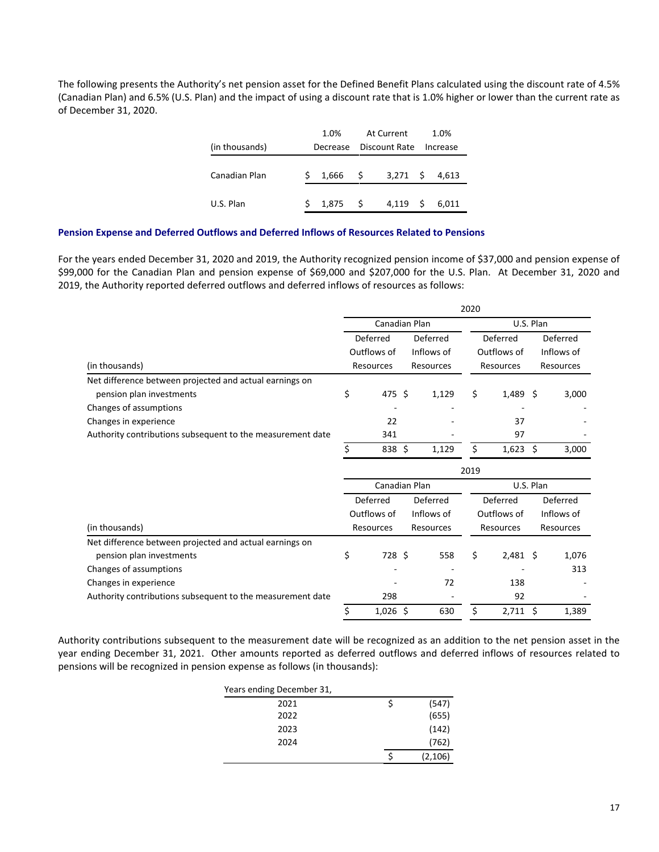The following presents the Authority's net pension asset for the Defined Benefit Plans calculated using the discount rate of 4.5% (Canadian Plan) and 6.5% (U.S. Plan) and the impact of using a discount rate that is 1.0% higher or lower than the current rate as of December 31, 2020.

|                |    | 1.0%     |    | At Current    |    | 1.0%     |
|----------------|----|----------|----|---------------|----|----------|
| (in thousands) |    | Decrease |    | Discount Rate |    | Increase |
| Canadian Plan  | Ś  | 1,666    | -S | $3,271$ \$    |    | 4,613    |
| U.S. Plan      | Š. | 1.875    | -S | 4.119         | -S | 6.011    |

## **Pension Expense and Deferred Outflows and Deferred Inflows of Resources Related to Pensions**

For the years ended December 31, 2020 and 2019, the Authority recognized pension income of \$37,000 and pension expense of \$99,000 for the Canadian Plan and pension expense of \$69,000 and \$207,000 for the U.S. Plan. At December 31, 2020 and 2019, the Authority reported deferred outflows and deferred inflows of resources as follows:

|                                                                                     | 2020 |                                      |  |                                     |                                      |            |                                     |       |  |  |  |
|-------------------------------------------------------------------------------------|------|--------------------------------------|--|-------------------------------------|--------------------------------------|------------|-------------------------------------|-------|--|--|--|
|                                                                                     |      | Canadian Plan                        |  |                                     | U.S. Plan                            |            |                                     |       |  |  |  |
| (in thousands)                                                                      |      | Deferred<br>Outflows of<br>Resources |  | Deferred<br>Inflows of<br>Resources | Deferred<br>Outflows of<br>Resources |            | Deferred<br>Inflows of<br>Resources |       |  |  |  |
| Net difference between projected and actual earnings on<br>pension plan investments | \$   | 475 \$                               |  | 1,129                               | \$                                   | $1,489$ \$ |                                     | 3,000 |  |  |  |
| Changes of assumptions                                                              |      |                                      |  | $\overline{\phantom{0}}$            |                                      |            |                                     |       |  |  |  |
| Changes in experience                                                               |      | 22                                   |  | ٠                                   |                                      | 37         |                                     |       |  |  |  |
| Authority contributions subsequent to the measurement date                          |      | 341                                  |  |                                     |                                      | 97         |                                     |       |  |  |  |
|                                                                                     |      | 838 \$                               |  | 1.129                               | ς                                    | $1,623$ \$ |                                     | 3,000 |  |  |  |

|                                                            | 2019 |                                      |   |            |                         |            |                        |           |  |  |  |  |
|------------------------------------------------------------|------|--------------------------------------|---|------------|-------------------------|------------|------------------------|-----------|--|--|--|--|
|                                                            |      | Canadian Plan                        |   |            | U.S. Plan               |            |                        |           |  |  |  |  |
| (in thousands)                                             |      | Deferred<br>Outflows of<br>Resources |   | Deferred   | Deferred<br>Outflows of |            | Deferred<br>Inflows of |           |  |  |  |  |
|                                                            |      |                                      |   | Inflows of |                         |            |                        |           |  |  |  |  |
|                                                            |      |                                      |   | Resources  |                         | Resources  |                        | Resources |  |  |  |  |
| Net difference between projected and actual earnings on    |      |                                      |   |            |                         |            |                        |           |  |  |  |  |
| pension plan investments                                   | \$   | 728 \$                               |   | 558        | S                       | $2,481$ \$ |                        | 1,076     |  |  |  |  |
| Changes of assumptions                                     |      |                                      |   |            |                         |            |                        | 313       |  |  |  |  |
| Changes in experience                                      |      |                                      |   | 72         |                         | 138        |                        |           |  |  |  |  |
| Authority contributions subsequent to the measurement date |      | 298                                  |   |            |                         | 92         |                        |           |  |  |  |  |
|                                                            |      | 1,026                                | S | 630        |                         | 2,711      | -S                     | 1,389     |  |  |  |  |

Authority contributions subsequent to the measurement date will be recognized as an addition to the net pension asset in the year ending December 31, 2021. Other amounts reported as deferred outflows and deferred inflows of resources related to pensions will be recognized in pension expense as follows (in thousands):

| Years ending December 31, |         |
|---------------------------|---------|
| 2021                      | (547)   |
| 2022                      | (655)   |
| 2023                      | (142)   |
| 2024                      | (762)   |
|                           | (2,106) |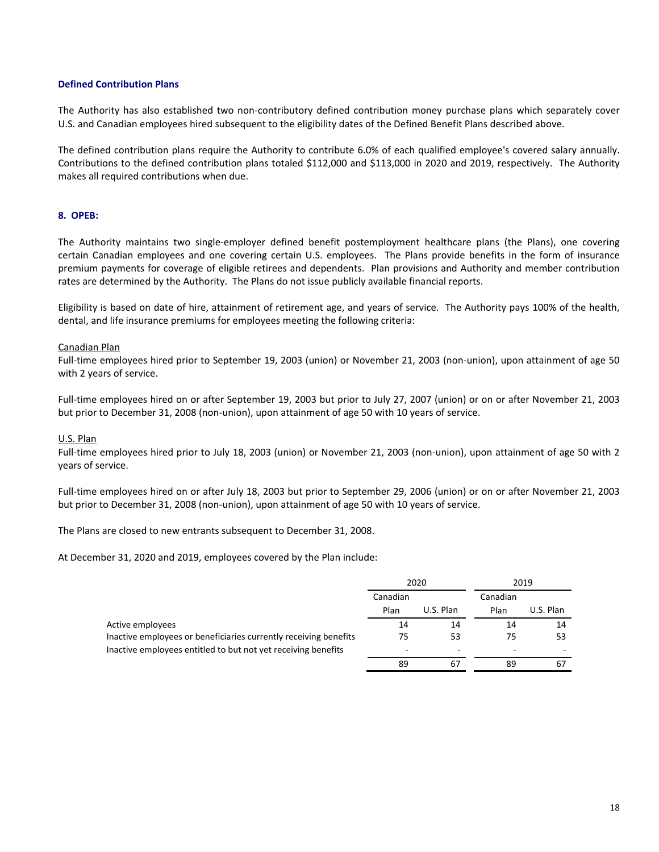## **Defined Contribution Plans**

The Authority has also established two non-contributory defined contribution money purchase plans which separately cover U.S. and Canadian employees hired subsequent to the eligibility dates of the Defined Benefit Plans described above.

The defined contribution plans require the Authority to contribute 6.0% of each qualified employee's covered salary annually. Contributions to the defined contribution plans totaled \$112,000 and \$113,000 in 2020 and 2019, respectively. The Authority makes all required contributions when due.

## **8. OPEB:**

The Authority maintains two single-employer defined benefit postemployment healthcare plans (the Plans), one covering certain Canadian employees and one covering certain U.S. employees. The Plans provide benefits in the form of insurance premium payments for coverage of eligible retirees and dependents. Plan provisions and Authority and member contribution rates are determined by the Authority. The Plans do not issue publicly available financial reports.

Eligibility is based on date of hire, attainment of retirement age, and years of service. The Authority pays 100% of the health, dental, and life insurance premiums for employees meeting the following criteria:

## Canadian Plan

Full-time employees hired prior to September 19, 2003 (union) or November 21, 2003 (non-union), upon attainment of age 50 with 2 years of service.

Full-time employees hired on or after September 19, 2003 but prior to July 27, 2007 (union) or on or after November 21, 2003 but prior to December 31, 2008 (non-union), upon attainment of age 50 with 10 years of service.

## U.S. Plan

Full-time employees hired prior to July 18, 2003 (union) or November 21, 2003 (non-union), upon attainment of age 50 with 2 years of service.

Full-time employees hired on or after July 18, 2003 but prior to September 29, 2006 (union) or on or after November 21, 2003 but prior to December 31, 2008 (non-union), upon attainment of age 50 with 10 years of service.

The Plans are closed to new entrants subsequent to December 31, 2008.

At December 31, 2020 and 2019, employees covered by the Plan include:

|                                                                  |          | 2020                     |          | 2019      |
|------------------------------------------------------------------|----------|--------------------------|----------|-----------|
|                                                                  | Canadian |                          | Canadian |           |
|                                                                  | Plan     | U.S. Plan                | Plan     | U.S. Plan |
| Active employees                                                 | 14       | 14                       | 14       | 14        |
| Inactive employees or beneficiaries currently receiving benefits | 75       | 53                       | 75       | 53        |
| Inactive employees entitled to but not yet receiving benefits    | ۰        | $\overline{\phantom{a}}$ | -        | -         |
|                                                                  | 89       | 67                       | 89       | 67        |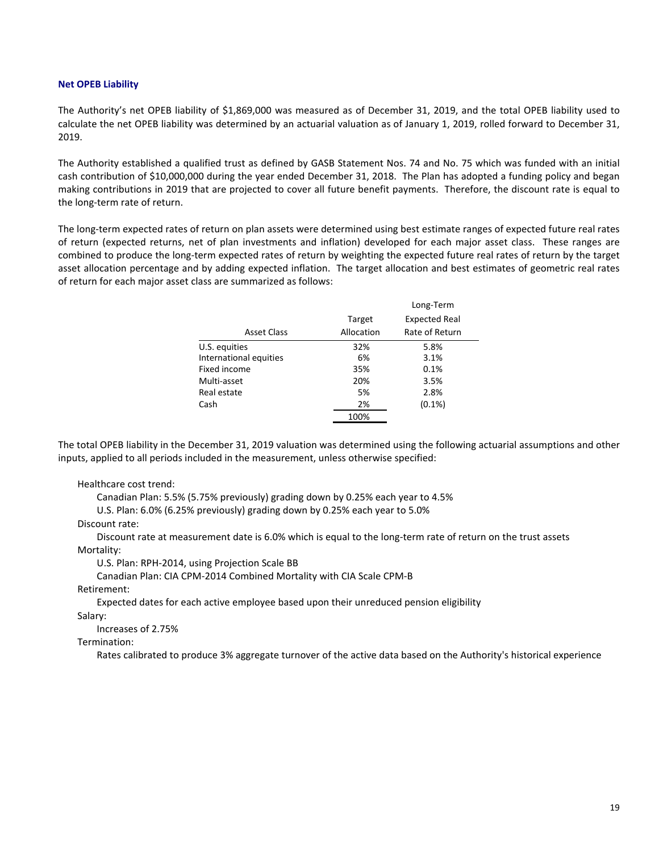#### **Net OPEB Liability**

The Authority's net OPEB liability of \$1,869,000 was measured as of December 31, 2019, and the total OPEB liability used to calculate the net OPEB liability was determined by an actuarial valuation as of January 1, 2019, rolled forward to December 31, 2019.

The Authority established a qualified trust as defined by GASB Statement Nos. 74 and No. 75 which was funded with an initial cash contribution of \$10,000,000 during the year ended December 31, 2018. The Plan has adopted a funding policy and began making contributions in 2019 that are projected to cover all future benefit payments. Therefore, the discount rate is equal to the long-term rate of return.

The long-term expected rates of return on plan assets were determined using best estimate ranges of expected future real rates of return (expected returns, net of plan investments and inflation) developed for each major asset class. These ranges are combined to produce the long-term expected rates of return by weighting the expected future real rates of return by the target asset allocation percentage and by adding expected inflation. The target allocation and best estimates of geometric real rates of return for each major asset class are summarized as follows:

|                        |            | Long-Term            |
|------------------------|------------|----------------------|
|                        | Target     | <b>Expected Real</b> |
| <b>Asset Class</b>     | Allocation | Rate of Return       |
| U.S. equities          | 32%        | 5.8%                 |
| International equities | 6%         | 3.1%                 |
| Fixed income           | 35%        | 0.1%                 |
| Multi-asset            | 20%        | 3.5%                 |
| Real estate            | 5%         | 2.8%                 |
| Cash                   | 2%         | $(0.1\%)$            |
|                        | 100%       |                      |

The total OPEB liability in the December 31, 2019 valuation was determined using the following actuarial assumptions and other inputs, applied to all periods included in the measurement, unless otherwise specified:

Healthcare cost trend:

Canadian Plan: 5.5% (5.75% previously) grading down by 0.25% each year to 4.5%

U.S. Plan: 6.0% (6.25% previously) grading down by 0.25% each year to 5.0%

Discount rate:

Discount rate at measurement date is 6.0% which is equal to the long-term rate of return on the trust assets Mortality:

U.S. Plan: RPH-2014, using Projection Scale BB

Canadian Plan: CIA CPM-2014 Combined Mortality with CIA Scale CPM-B

Retirement:

Expected dates for each active employee based upon their unreduced pension eligibility

Salary:

Increases of 2.75%

Termination:

Rates calibrated to produce 3% aggregate turnover of the active data based on the Authority's historical experience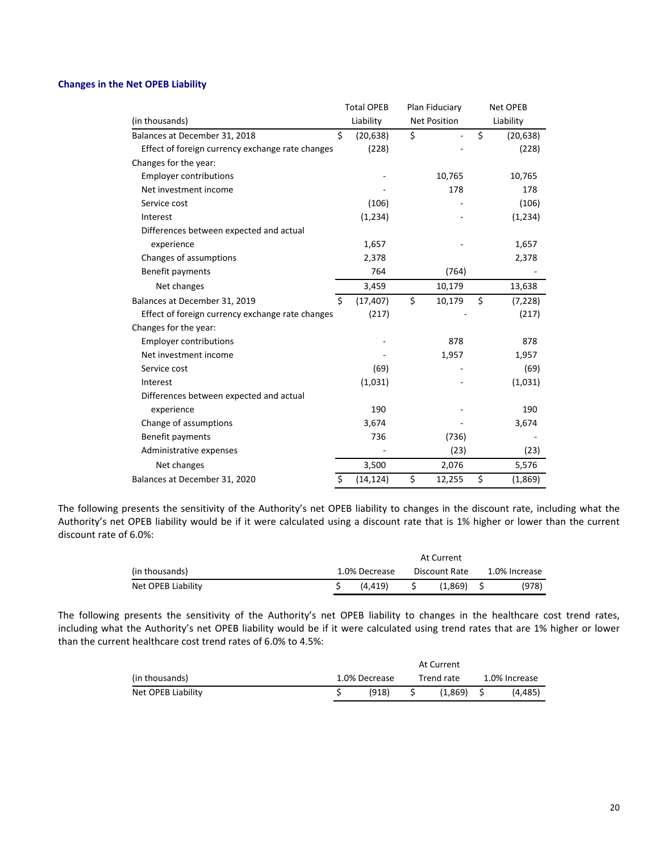## **Changes in the Net OPEB Liability**

|                                                  | <b>Total OPEB</b> | Plan Fiduciary      | Net OPEB |           |  |  |
|--------------------------------------------------|-------------------|---------------------|----------|-----------|--|--|
| (in thousands)                                   | Liability         | <b>Net Position</b> |          | Liability |  |  |
| Balances at December 31, 2018                    | \$<br>(20, 638)   | \$                  | \$       | (20, 638) |  |  |
| Effect of foreign currency exchange rate changes | (228)             |                     |          | (228)     |  |  |
| Changes for the year:                            |                   |                     |          |           |  |  |
| <b>Employer contributions</b>                    |                   | 10,765              |          | 10,765    |  |  |
| Net investment income                            |                   | 178                 |          | 178       |  |  |
| Service cost                                     | (106)             |                     |          | (106)     |  |  |
| Interest                                         | (1, 234)          |                     |          | (1, 234)  |  |  |
| Differences between expected and actual          |                   |                     |          |           |  |  |
| experience                                       | 1,657             |                     |          | 1,657     |  |  |
| Changes of assumptions                           | 2,378             |                     |          | 2,378     |  |  |
| Benefit payments                                 | 764               | (764)               |          |           |  |  |
| Net changes                                      | 3,459             | 10,179              |          | 13,638    |  |  |
| Balances at December 31, 2019                    | \$<br>(17, 407)   | \$<br>10,179        | \$       | (7, 228)  |  |  |
| Effect of foreign currency exchange rate changes | (217)             |                     |          | (217)     |  |  |
| Changes for the year:                            |                   |                     |          |           |  |  |
| <b>Employer contributions</b>                    |                   | 878                 |          | 878       |  |  |
| Net investment income                            |                   | 1,957               |          | 1,957     |  |  |
| Service cost                                     | (69)              |                     |          | (69)      |  |  |
| Interest                                         | (1,031)           |                     |          | (1,031)   |  |  |
| Differences between expected and actual          |                   |                     |          |           |  |  |
| experience                                       | 190               |                     |          | 190       |  |  |
| Change of assumptions                            | 3,674             |                     |          | 3,674     |  |  |
| Benefit payments                                 | 736               | (736)               |          |           |  |  |
| Administrative expenses                          |                   | (23)                |          | (23)      |  |  |
| Net changes                                      | 3,500             | 2,076               |          | 5,576     |  |  |
| Balances at December 31, 2020                    | \$<br>(14, 124)   | \$<br>12,255        | \$       | (1,869)   |  |  |

The following presents the sensitivity of the Authority's net OPEB liability to changes in the discount rate, including what the Authority's net OPEB liability would be if it were calculated using a discount rate that is 1% higher or lower than the current discount rate of 6.0%:

|                    |               |         | At Current    |              |  |               |
|--------------------|---------------|---------|---------------|--------------|--|---------------|
| (in thousands)     | 1.0% Decrease |         | Discount Rate |              |  | 1.0% Increase |
| Net OPEB Liability |               | (4.419) |               | $(1.869)$ \$ |  | (978)         |

The following presents the sensitivity of the Authority's net OPEB liability to changes in the healthcare cost trend rates, including what the Authority's net OPEB liability would be if it were calculated using trend rates that are 1% higher or lower than the current healthcare cost trend rates of 6.0% to 4.5%:

| (in thousands)     | 1.0% Decrease | Trend rate   | 1.0% Increase |
|--------------------|---------------|--------------|---------------|
| Net OPEB Liability | (918)         | $(1.869)$ \$ | (4.485)       |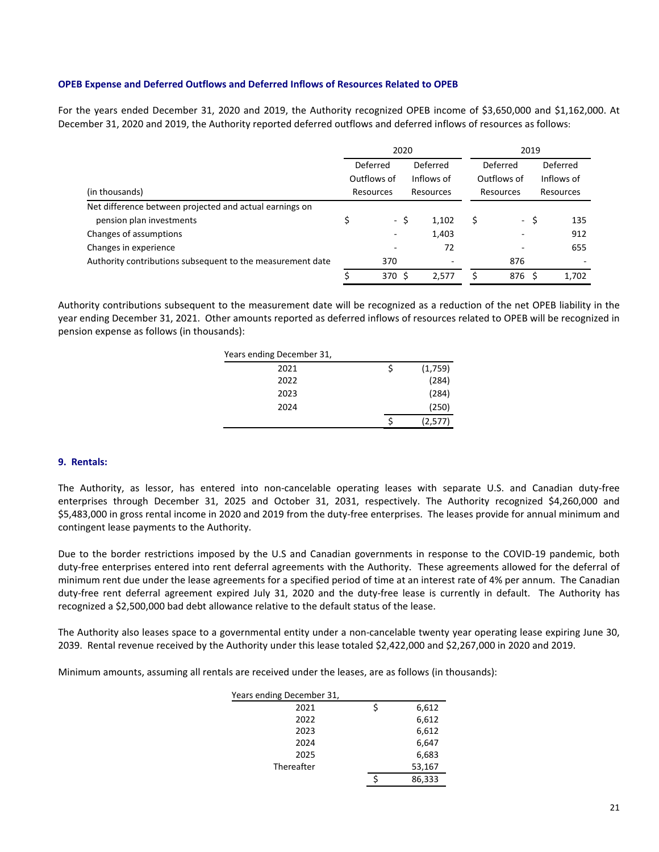## **OPEB Expense and Deferred Outflows and Deferred Inflows of Resources Related to OPEB**

For the years ended December 31, 2020 and 2019, the Authority recognized OPEB income of \$3,650,000 and \$1,162,000. At December 31, 2020 and 2019, the Authority reported deferred outflows and deferred inflows of resources as follows:

|                                                            |             | 2020                   |            | 2019                     |           |             |      |                          |  |
|------------------------------------------------------------|-------------|------------------------|------------|--------------------------|-----------|-------------|------|--------------------------|--|
|                                                            |             | Deferred<br>Deferred   |            | Deferred                 |           | Deferred    |      |                          |  |
|                                                            | Outflows of |                        | Inflows of |                          |           | Outflows of |      | Inflows of               |  |
| (in thousands)                                             |             | Resources<br>Resources |            |                          | Resources |             |      | Resources                |  |
| Net difference between projected and actual earnings on    |             |                        |            |                          |           |             |      |                          |  |
| pension plan investments                                   |             |                        | - \$       | 1,102                    | Ś         |             | - \$ | 135                      |  |
| Changes of assumptions                                     |             |                        |            | 1,403                    |           |             |      | 912                      |  |
| Changes in experience                                      |             |                        |            | 72                       |           |             |      | 655                      |  |
| Authority contributions subsequent to the measurement date |             | 370                    |            | $\overline{\phantom{a}}$ |           | 876         |      | $\overline{\phantom{a}}$ |  |
|                                                            |             | 370 S                  |            | 2.577                    |           | 876 S       |      | 1.702                    |  |

Authority contributions subsequent to the measurement date will be recognized as a reduction of the net OPEB liability in the year ending December 31, 2021. Other amounts reported as deferred inflows of resources related to OPEB will be recognized in pension expense as follows (in thousands):

| Years ending December 31, |               |
|---------------------------|---------------|
| 2021                      | \$<br>(1,759) |
| 2022                      | (284)         |
| 2023                      | (284)         |
| 2024                      | (250)         |
|                           | (2,577)       |

## **9. Rentals:**

The Authority, as lessor, has entered into non-cancelable operating leases with separate U.S. and Canadian duty-free enterprises through December 31, 2025 and October 31, 2031, respectively. The Authority recognized \$4,260,000 and \$5,483,000 in gross rental income in 2020 and 2019 from the duty-free enterprises. The leases provide for annual minimum and contingent lease payments to the Authority.

Due to the border restrictions imposed by the U.S and Canadian governments in response to the COVID-19 pandemic, both duty-free enterprises entered into rent deferral agreements with the Authority. These agreements allowed for the deferral of minimum rent due under the lease agreements for a specified period of time at an interest rate of 4% per annum. The Canadian duty-free rent deferral agreement expired July 31, 2020 and the duty-free lease is currently in default. The Authority has recognized a \$2,500,000 bad debt allowance relative to the default status of the lease.

The Authority also leases space to a governmental entity under a non-cancelable twenty year operating lease expiring June 30, 2039. Rental revenue received by the Authority under this lease totaled \$2,422,000 and \$2,267,000 in 2020 and 2019.

Minimum amounts, assuming all rentals are received under the leases, are as follows (in thousands):

| Years ending December 31, |             |
|---------------------------|-------------|
| 2021                      | \$<br>6,612 |
| 2022                      | 6,612       |
| 2023                      | 6,612       |
| 2024                      | 6,647       |
| 2025                      | 6,683       |
| Thereafter                | 53,167      |
|                           | 86,333      |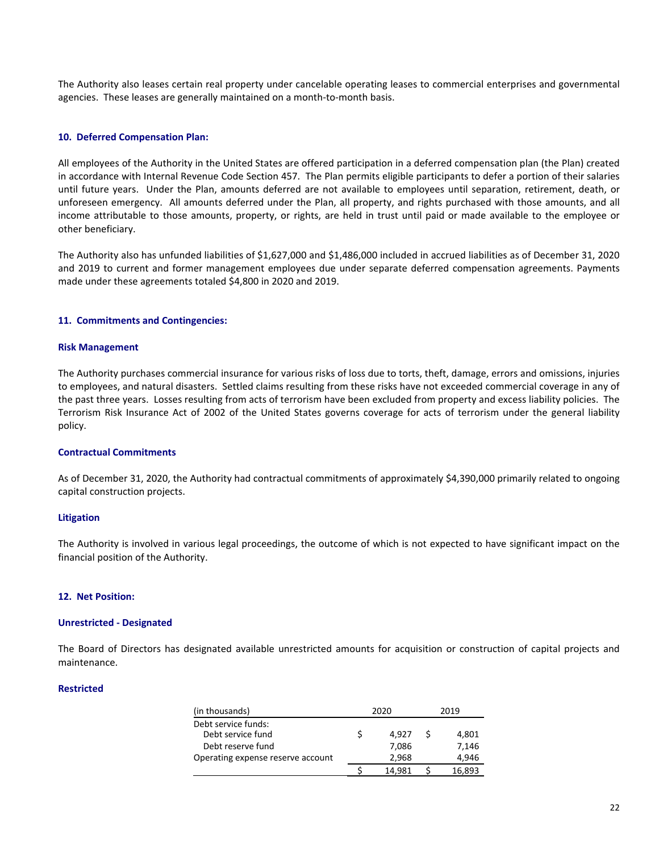The Authority also leases certain real property under cancelable operating leases to commercial enterprises and governmental agencies. These leases are generally maintained on a month-to-month basis.

#### **10. Deferred Compensation Plan:**

All employees of the Authority in the United States are offered participation in a deferred compensation plan (the Plan) created in accordance with Internal Revenue Code Section 457. The Plan permits eligible participants to defer a portion of their salaries until future years. Under the Plan, amounts deferred are not available to employees until separation, retirement, death, or unforeseen emergency. All amounts deferred under the Plan, all property, and rights purchased with those amounts, and all income attributable to those amounts, property, or rights, are held in trust until paid or made available to the employee or other beneficiary.

The Authority also has unfunded liabilities of \$1,627,000 and \$1,486,000 included in accrued liabilities as of December 31, 2020 and 2019 to current and former management employees due under separate deferred compensation agreements. Payments made under these agreements totaled \$4,800 in 2020 and 2019.

#### **11. Commitments and Contingencies:**

#### **Risk Management**

The Authority purchases commercial insurance for various risks of loss due to torts, theft, damage, errors and omissions, injuries to employees, and natural disasters. Settled claims resulting from these risks have not exceeded commercial coverage in any of the past three years. Losses resulting from acts of terrorism have been excluded from property and excess liability policies. The Terrorism Risk Insurance Act of 2002 of the United States governs coverage for acts of terrorism under the general liability policy.

#### **Contractual Commitments**

As of December 31, 2020, the Authority had contractual commitments of approximately \$4,390,000 primarily related to ongoing capital construction projects.

#### **Litigation**

The Authority is involved in various legal proceedings, the outcome of which is not expected to have significant impact on the financial position of the Authority.

## **12. Net Position:**

#### **Unrestricted - Designated**

The Board of Directors has designated available unrestricted amounts for acquisition or construction of capital projects and maintenance.

#### **Restricted**

| (in thousands)                    | 2020   | 2019   |
|-----------------------------------|--------|--------|
| Debt service funds:               |        |        |
| Debt service fund                 | 4.927  | 4,801  |
| Debt reserve fund                 | 7,086  | 7,146  |
| Operating expense reserve account | 2,968  | 4,946  |
|                                   | 14.981 | 16.893 |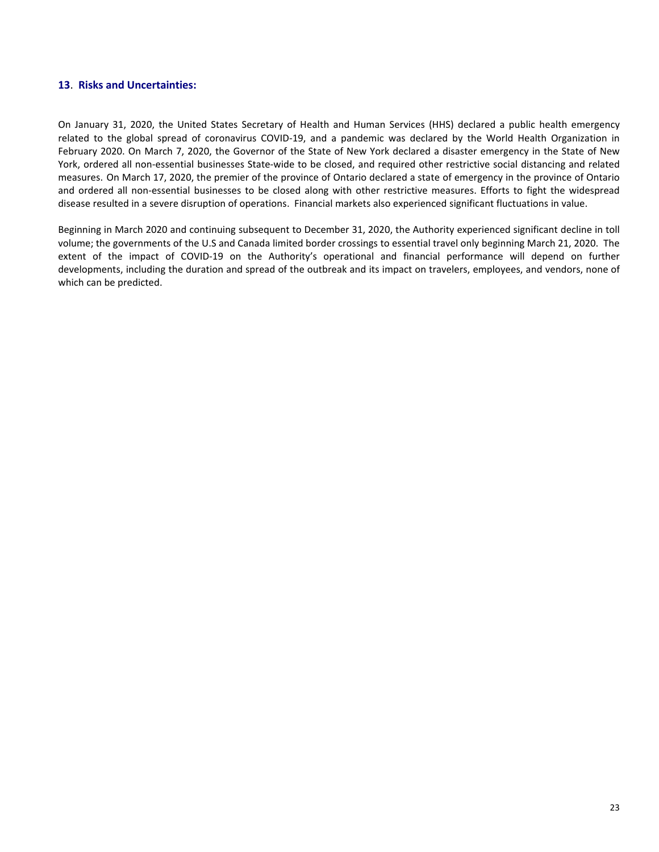## **13**. **Risks and Uncertainties:**

On January 31, 2020, the United States Secretary of Health and Human Services (HHS) declared a public health emergency related to the global spread of coronavirus COVID-19, and a pandemic was declared by the World Health Organization in February 2020. On March 7, 2020, the Governor of the State of New York declared a disaster emergency in the State of New York, ordered all non-essential businesses State-wide to be closed, and required other restrictive social distancing and related measures. On March 17, 2020, the premier of the province of Ontario declared a state of emergency in the province of Ontario and ordered all non-essential businesses to be closed along with other restrictive measures. Efforts to fight the widespread disease resulted in a severe disruption of operations. Financial markets also experienced significant fluctuations in value.

Beginning in March 2020 and continuing subsequent to December 31, 2020, the Authority experienced significant decline in toll volume; the governments of the U.S and Canada limited border crossings to essential travel only beginning March 21, 2020. The extent of the impact of COVID-19 on the Authority's operational and financial performance will depend on further developments, including the duration and spread of the outbreak and its impact on travelers, employees, and vendors, none of which can be predicted.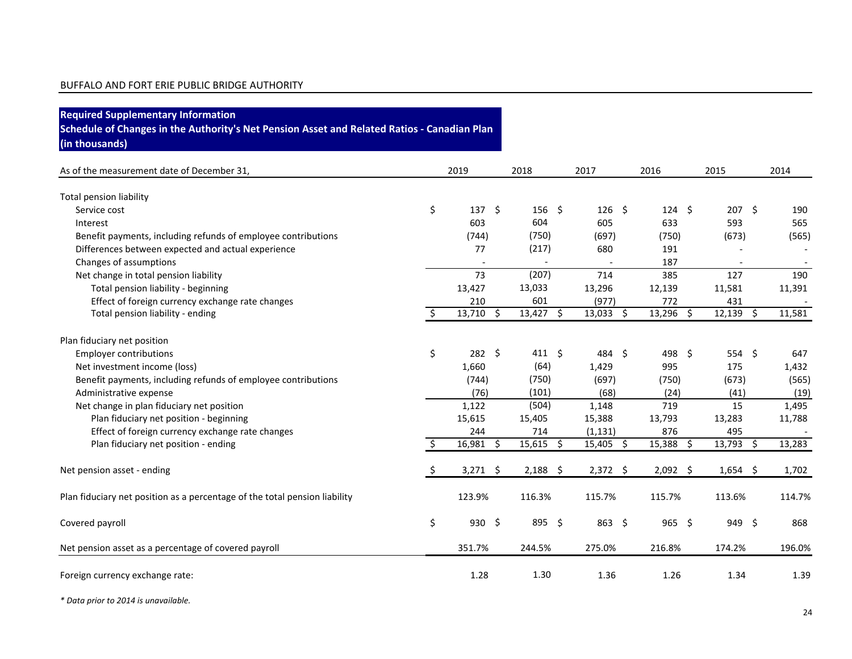| <b>Required Supplementary Information</b><br>Schedule of Changes in the Authority's Net Pension Asset and Related Ratios - Canadian Plan<br>(in thousands) |     |                   |                   |              |                |              |        |
|------------------------------------------------------------------------------------------------------------------------------------------------------------|-----|-------------------|-------------------|--------------|----------------|--------------|--------|
| As of the measurement date of December 31,                                                                                                                 |     | 2019              | 2018              | 2017         | 2016           | 2015         | 2014   |
| <b>Total pension liability</b>                                                                                                                             |     |                   |                   |              |                |              |        |
| Service cost                                                                                                                                               | \$  | $137 \frac{2}{7}$ | $156 \; \text{S}$ | $126 \pm 5$  | $124 \quad $5$ | $207 \; \S$  | 190    |
| Interest                                                                                                                                                   |     | 603               | 604               | 605          | 633            | 593          | 565    |
| Benefit payments, including refunds of employee contributions                                                                                              |     | (744)             | (750)             | (697)        | (750)          | (673)        | (565)  |
| Differences between expected and actual experience                                                                                                         |     | 77                | (217)             | 680          | 191            |              |        |
| Changes of assumptions                                                                                                                                     |     |                   |                   |              | 187            |              |        |
| Net change in total pension liability                                                                                                                      |     | 73                | (207)             | 714          | 385            | 127          | 190    |
| Total pension liability - beginning                                                                                                                        |     | 13,427            | 13,033            | 13,296       | 12,139         | 11,581       | 11,391 |
| Effect of foreign currency exchange rate changes                                                                                                           |     | 210               | 601               | (977)        | 772            | 431          |        |
| Total pension liability - ending                                                                                                                           | Ŝ.  | $13,710$ \$       | $13,427$ \$       | $13,033$ \$  | 13,296<br>-\$  | 12,139<br>Ŝ. | 11,581 |
| Plan fiduciary net position                                                                                                                                |     |                   |                   |              |                |              |        |
| <b>Employer contributions</b>                                                                                                                              | \$  | $282 \quad $$     | $411 \; \text{S}$ | 484 \$       | 498 \$         | 554 \$       | 647    |
| Net investment income (loss)                                                                                                                               |     | 1,660             | (64)              | 1,429        | 995            | 175          | 1,432  |
| Benefit payments, including refunds of employee contributions                                                                                              |     | (744)             | (750)             | (697)        | (750)          | (673)        | (565)  |
| Administrative expense                                                                                                                                     |     | (76)              | (101)             | (68)         | (24)           | (41)         | (19)   |
| Net change in plan fiduciary net position                                                                                                                  |     | 1,122             | (504)             | 1,148        | 719            | 15           | 1,495  |
| Plan fiduciary net position - beginning                                                                                                                    |     | 15,615            | 15,405            | 15,388       | 13,793         | 13,283       | 11,788 |
| Effect of foreign currency exchange rate changes                                                                                                           |     | 244               | 714               | (1, 131)     | 876            | 495          |        |
| Plan fiduciary net position - ending                                                                                                                       | \$. | 16,981 \$         | $15,615$ \$       | $15,405$ \$  | 15,388<br>-\$  | 13,793 \$    | 13,283 |
| Net pension asset - ending                                                                                                                                 | \$. | $3,271$ \$        | $2,188$ \$        | $2,372$ \$   | $2,092$ \$     | $1,654$ \$   | 1,702  |
| Plan fiduciary net position as a percentage of the total pension liability                                                                                 |     | 123.9%            | 116.3%            | 115.7%       | 115.7%         | 113.6%       | 114.7% |
| Covered payroll                                                                                                                                            | \$  | $930 \div$        | 895 \$            | $863 \; \xi$ | $965$ \$       | 949 \$       | 868    |
| Net pension asset as a percentage of covered payroll                                                                                                       |     | 351.7%            | 244.5%            | 275.0%       | 216.8%         | 174.2%       | 196.0% |
| Foreign currency exchange rate:                                                                                                                            |     | 1.28              | 1.30              | 1.36         | 1.26           | 1.34         | 1.39   |

*\* Data prior to 2014 is unavailable.*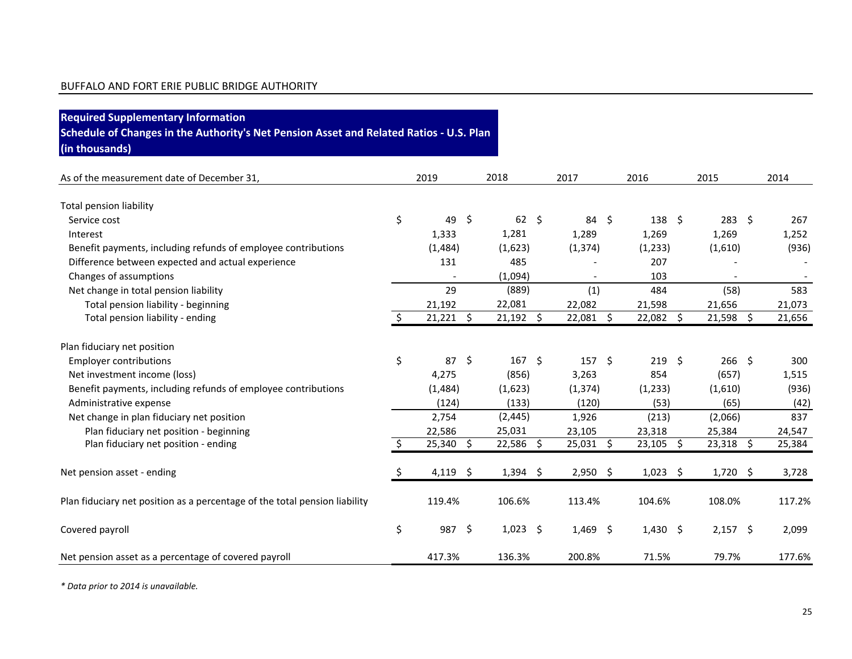| <b>Required Supplementary Information</b>                                               |    |             |                     |                  |                          |      |               |         |             |         |        |
|-----------------------------------------------------------------------------------------|----|-------------|---------------------|------------------|--------------------------|------|---------------|---------|-------------|---------|--------|
| Schedule of Changes in the Authority's Net Pension Asset and Related Ratios - U.S. Plan |    |             |                     |                  |                          |      |               |         |             |         |        |
| (in thousands)                                                                          |    |             |                     |                  |                          |      |               |         |             |         |        |
| As of the measurement date of December 31,                                              |    | 2019        |                     | 2018             | 2017                     | 2016 |               |         | 2015        |         | 2014   |
| <b>Total pension liability</b>                                                          |    |             |                     |                  |                          |      |               |         |             |         |        |
| Service cost                                                                            | \$ | 49          | -\$                 | $62 \quad $5$    | 84 \$                    |      | $138 \quad $$ |         | 283         | $\zeta$ | 267    |
| Interest                                                                                |    | 1,333       |                     | 1,281            | 1,289                    |      | 1,269         |         | 1,269       |         | 1,252  |
| Benefit payments, including refunds of employee contributions                           |    | (1,484)     |                     | (1,623)          | (1, 374)                 |      | (1,233)       |         | (1,610)     |         | (936)  |
| Difference between expected and actual experience                                       |    | 131         |                     | 485              |                          |      | 207           |         |             |         |        |
| Changes of assumptions                                                                  |    |             |                     | (1,094)          | $\overline{\phantom{0}}$ |      | 103           |         |             |         |        |
| Net change in total pension liability                                                   |    | 29          |                     | (889)            | (1)                      |      | 484           |         | (58)        |         | 583    |
| Total pension liability - beginning                                                     |    | 21,192      |                     | 22,081           | 22,082                   |      | 21,598        |         | 21,656      |         | 21,073 |
| Total pension liability - ending                                                        | Ŝ. | $21,221$ \$ |                     | $21,192$ \$      | 22,081 \$                |      | 22,082        | $\zeta$ | 21,598      | \$      | 21,656 |
| Plan fiduciary net position                                                             |    |             |                     |                  |                          |      |               |         |             |         |        |
| <b>Employer contributions</b>                                                           | \$ | 87          | $\ddot{\mathsf{s}}$ | 167 <sup>5</sup> | $157 \;$ \$              |      | $219$ \$      |         | $266$ \$    |         | 300    |
| Net investment income (loss)                                                            |    | 4,275       |                     | (856)            | 3,263                    |      | 854           |         | (657)       |         | 1,515  |
| Benefit payments, including refunds of employee contributions                           |    | (1, 484)    |                     | (1,623)          | (1, 374)                 |      | (1, 233)      |         | (1,610)     |         | (936)  |
| Administrative expense                                                                  |    | (124)       |                     | (133)            | (120)                    |      | (53)          |         | (65)        |         | (42)   |
| Net change in plan fiduciary net position                                               |    | 2,754       |                     | (2, 445)         | 1,926                    |      | (213)         |         | (2,066)     |         | 837    |
| Plan fiduciary net position - beginning                                                 |    | 22,586      |                     | 25,031           | 23,105                   |      | 23,318        |         | 25,384      |         | 24,547 |
| Plan fiduciary net position - ending                                                    | Ŝ. | 25,340 \$   |                     | 22,586 \$        | $25,031$ \$              |      | $23,105$ \$   |         | $23,318$ \$ |         | 25,384 |
| Net pension asset - ending                                                              | \$ | 4,119 \$    |                     | $1,394$ \$       | $2,950$ \$               |      | $1,023$ \$    |         | 1,720       | \$      | 3,728  |
| Plan fiduciary net position as a percentage of the total pension liability              |    | 119.4%      |                     | 106.6%           | 113.4%                   |      | 104.6%        |         | 108.0%      |         | 117.2% |
| Covered payroll                                                                         | \$ | 987 \$      |                     | $1,023$ \$       | $1,469$ \$               |      | $1,430$ \$    |         | $2,157$ \$  |         | 2,099  |
| Net pension asset as a percentage of covered payroll                                    |    | 417.3%      |                     | 136.3%           | 200.8%                   |      | 71.5%         |         | 79.7%       |         | 177.6% |

*\* Data prior to 2014 is unavailable.*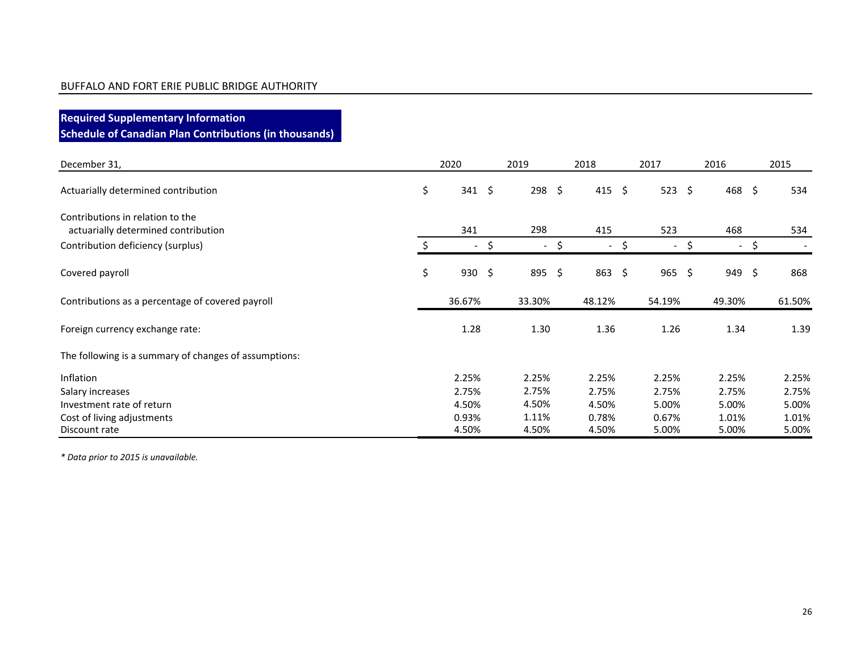**Required Supplementary Information Schedule of Canadian Plan Contributions (in thousands)**

| December 31,                                          | 2020                     | 2019                 | 2018 |                          | 2017                           | 2016                           |     | 2015   |
|-------------------------------------------------------|--------------------------|----------------------|------|--------------------------|--------------------------------|--------------------------------|-----|--------|
| Actuarially determined contribution                   | \$<br>$341 \; \text{S}$  | $298 \quad $$        |      | 415 \$                   | 523                            | \$<br>468 \$                   |     | 534    |
| Contributions in relation to the                      |                          |                      |      |                          |                                |                                |     |        |
| actuarially determined contribution                   | 341                      | 298                  |      | 415                      | 523                            | 468                            |     | 534    |
| Contribution deficiency (surplus)                     | $\overline{\phantom{0}}$ | \$<br>$\blacksquare$ | \$   | $\overline{\phantom{a}}$ | \$<br>$\overline{\phantom{a}}$ | \$<br>$\overline{\phantom{a}}$ | \$. |        |
| Covered payroll                                       | \$<br>$930 \div$         | 895 \$               |      | $863 \; \xi$             | 965                            | \$<br>949 \$                   |     | 868    |
| Contributions as a percentage of covered payroll      | 36.67%                   | 33.30%               |      | 48.12%                   | 54.19%                         | 49.30%                         |     | 61.50% |
| Foreign currency exchange rate:                       | 1.28                     | 1.30                 |      | 1.36                     | 1.26                           | 1.34                           |     | 1.39   |
| The following is a summary of changes of assumptions: |                          |                      |      |                          |                                |                                |     |        |
| Inflation                                             | 2.25%                    | 2.25%                |      | 2.25%                    | 2.25%                          | 2.25%                          |     | 2.25%  |
| Salary increases                                      | 2.75%                    | 2.75%                |      | 2.75%                    | 2.75%                          | 2.75%                          |     | 2.75%  |
| Investment rate of return                             | 4.50%                    | 4.50%                |      | 4.50%                    | 5.00%                          | 5.00%                          |     | 5.00%  |
| Cost of living adjustments                            | 0.93%                    | 1.11%                |      | 0.78%                    | 0.67%                          | 1.01%                          |     | 1.01%  |
| Discount rate                                         | 4.50%                    | 4.50%                |      | 4.50%                    | 5.00%                          | 5.00%                          |     | 5.00%  |

*\* Data prior to 2015 is unavailable.*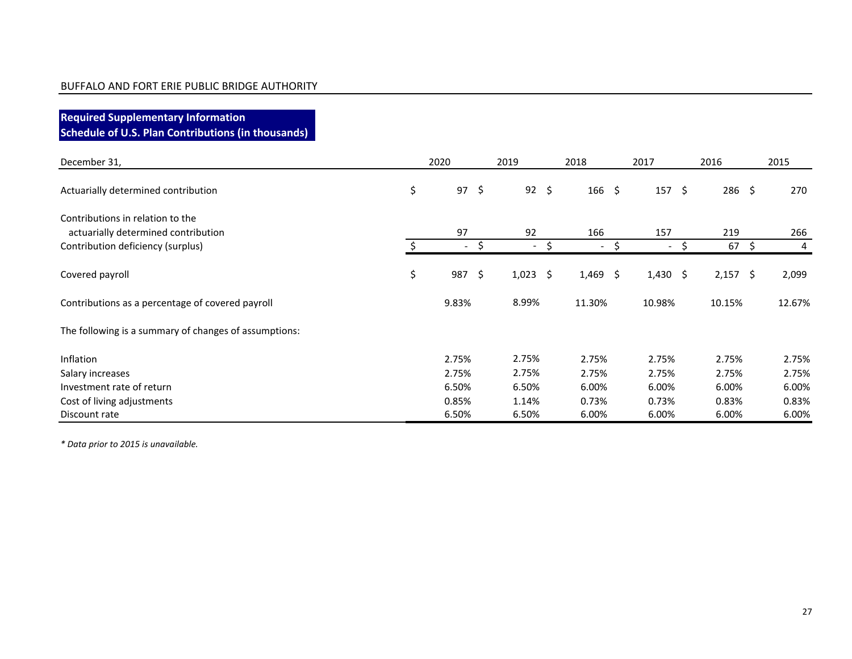**Required Supplementary Information Schedule of U.S. Plan Contributions (in thousands)**

| December 31,                                                            | 2020                     | 2019         | 2018                           |    | 2017                     |   | 2016        | 2015   |
|-------------------------------------------------------------------------|--------------------------|--------------|--------------------------------|----|--------------------------|---|-------------|--------|
| Actuarially determined contribution                                     | \$<br>$97 \quad $5$      | $92 \quad $$ | $166 \; \xi$                   |    | $157 \; \S$              |   | $286 \; \S$ | 270    |
| Contributions in relation to the<br>actuarially determined contribution | 97                       | 92           | 166                            |    | 157                      |   | 219         | 266    |
| Contribution deficiency (surplus)                                       | $\overline{\phantom{a}}$ | $\sim$       | \$<br>$\overline{\phantom{0}}$ | S  | $\overline{\phantom{a}}$ | Ś | $67 \;$ \$  | 4      |
| Covered payroll                                                         | \$<br>987                | \$<br>1,023  | \$<br>1,469                    | \$ | $1,430$ \$               |   | $2,157$ \$  | 2,099  |
| Contributions as a percentage of covered payroll                        | 9.83%                    | 8.99%        | 11.30%                         |    | 10.98%                   |   | 10.15%      | 12.67% |
| The following is a summary of changes of assumptions:                   |                          |              |                                |    |                          |   |             |        |
| <b>Inflation</b>                                                        | 2.75%                    | 2.75%        | 2.75%                          |    | 2.75%                    |   | 2.75%       | 2.75%  |
| Salary increases                                                        | 2.75%                    | 2.75%        | 2.75%                          |    | 2.75%                    |   | 2.75%       | 2.75%  |
| Investment rate of return                                               | 6.50%                    | 6.50%        | 6.00%                          |    | 6.00%                    |   | 6.00%       | 6.00%  |
| Cost of living adjustments                                              | 0.85%                    | 1.14%        | 0.73%                          |    | 0.73%                    |   | 0.83%       | 0.83%  |
| Discount rate                                                           | 6.50%                    | 6.50%        | 6.00%                          |    | 6.00%                    |   | 6.00%       | 6.00%  |

*\* Data prior to 2015 is unavailable.*